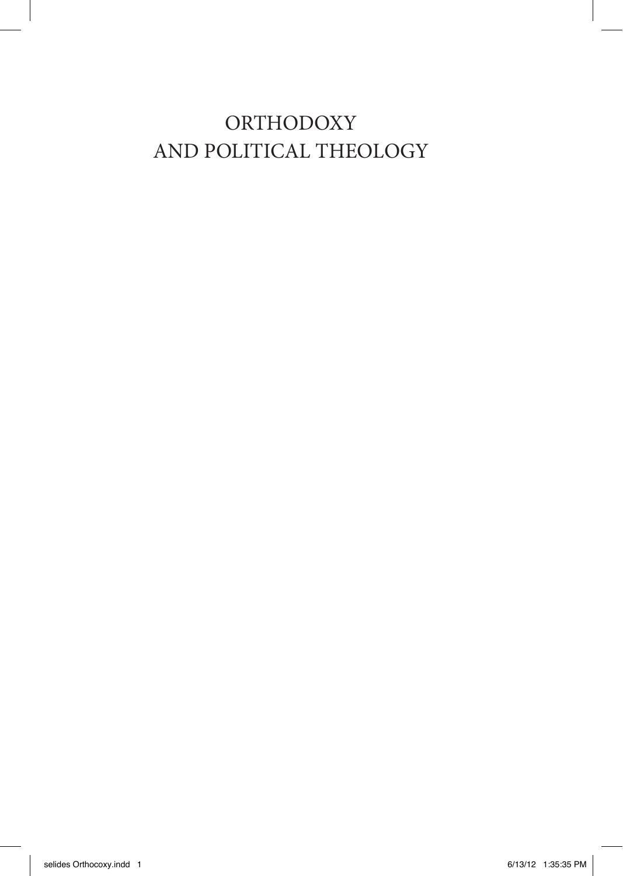## **ORTHODOXY** AND POLITICAL THEOLOGY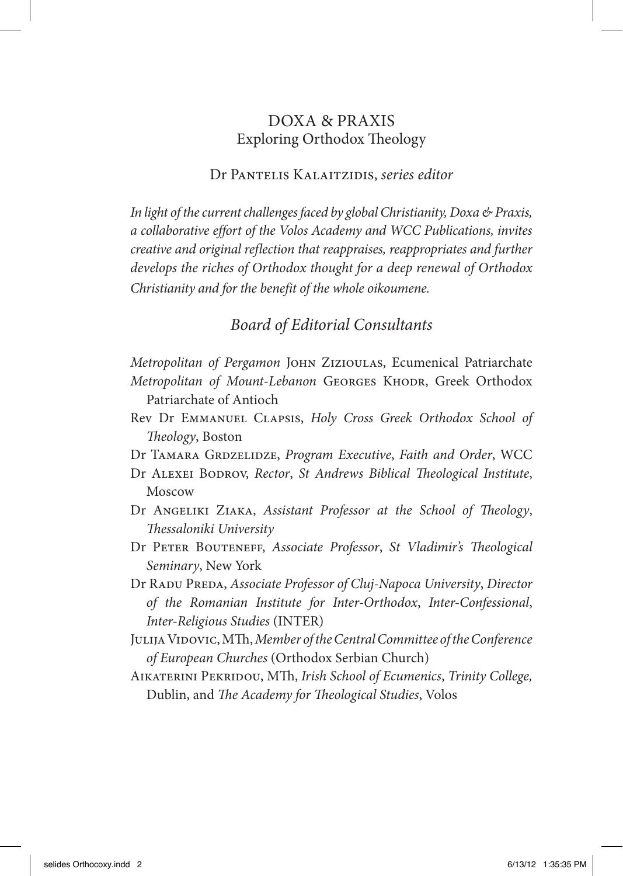### Doxa & Praxis Exploring Orthodox Theology

#### Dr Pantelis Kalaitzidis, *series editor*

*In light of the current challenges faced by global Christianity, Doxa & Praxis, a collaborative effort of the Volos Academy and WCC Publications, invites creative and original reflection that reappraises, reappropriates and further develops the riches of Orthodox thought for a deep renewal of Orthodox Christianity and for the benefit of the whole oikoumene.*

## *Board of Editorial Consultants*

*Metropolitan of Pergamon* John Zizioulas, Ecumenical Patriarchate *Metropolitan of Mount-Lebanon GEORGES KHODR, Greek Orthodox* Patriarchate of Antioch

- Rev Dr Emmanuel Clapsis, *Holy Cross Greek Orthodox School of Theology*, Boston
- Dr Tamara Grdzelidze, *Program Executive*, *Faith and Order*, WCC
- Dr Alexei Bodrov, *Rector*, *St Andrews Biblical Theological Institute*, Moscow
- Dr Angeliki Ziaka, *Assistant Professor at the School of Theology*, *Thessaloniki University*
- Dr Peter Bouteneff, *Associate Professor*, *St Vladimir's Theological Seminary*, New York
- Dr Radu Preda, *Associate Professor of Cluj-Napoca University*, *Director of the Romanian Institute for Inter-Orthodox*, *Inter-Confessional*, *Inter-Religious Studies* (INTER)
- JULIJA VIDOVIC, MTh, *Member of the Central Committee of the Conference of European Churches* (Orthodox Serbian Church)
- Aikaterini Pekridou, MTh, *Irish School of Ecumenics*, *Trinity College,*  Dublin, and *The Academy for Theological Studies*, Volos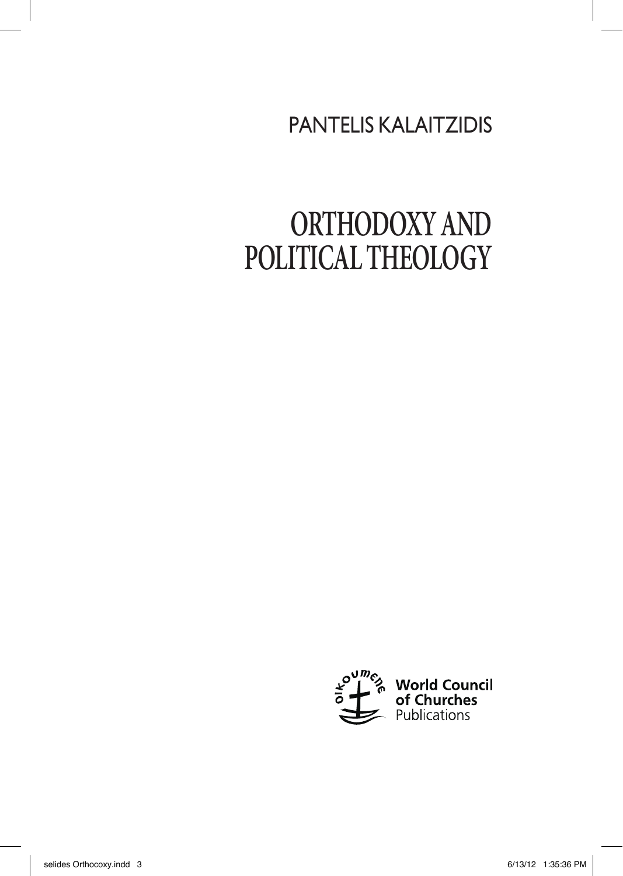PANTELIS KALAITZIDIS

# **ORTHODOXY AND POLITICAL THEOLOGY**

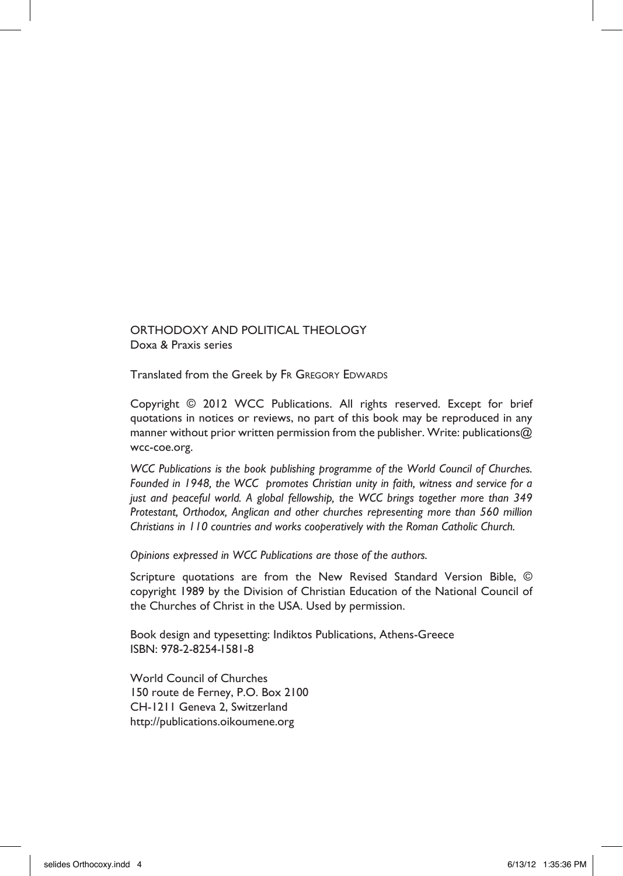#### ORTHODOXY AND POLITICAL THEOLOGY Doxa & Praxis series

Translated from the Greek by FR GREGORY EDWARDS

Copyright © 2012 WCC Publications. All rights reserved. Except for brief quotations in notices or reviews, no part of this book may be reproduced in any manner without prior written permission from the publisher. Write: publications@ wcc-coe.org.

WCC Publications is the book publishing programme of the World Council of Churches. *Founded in 1948, the WCC promotes Christian unity in faith, witness and service for a just and peaceful world. A global fellowship, the WCC brings together more than 349 Protestant, Orthodox, Anglican and other churches representing more than 560 million Christians in 110 countries and works cooperatively with the Roman Catholic Church.*

*Opinions expressed in WCC Publications are those of the authors.*

Scripture quotations are from the New Revised Standard Version Bible, © copyright 1989 by the Division of Christian Education of the National Council of the Churches of Christ in the USA. Used by permission.

Book design and typesetting: Indiktos Publications, Athens-Greece ISBN: 978-2-8254-1581-8

World Council of Churches 150 route de Ferney, P.O. Box 2100 CH-1211 Geneva 2, Switzerland http://publications.oikoumene.org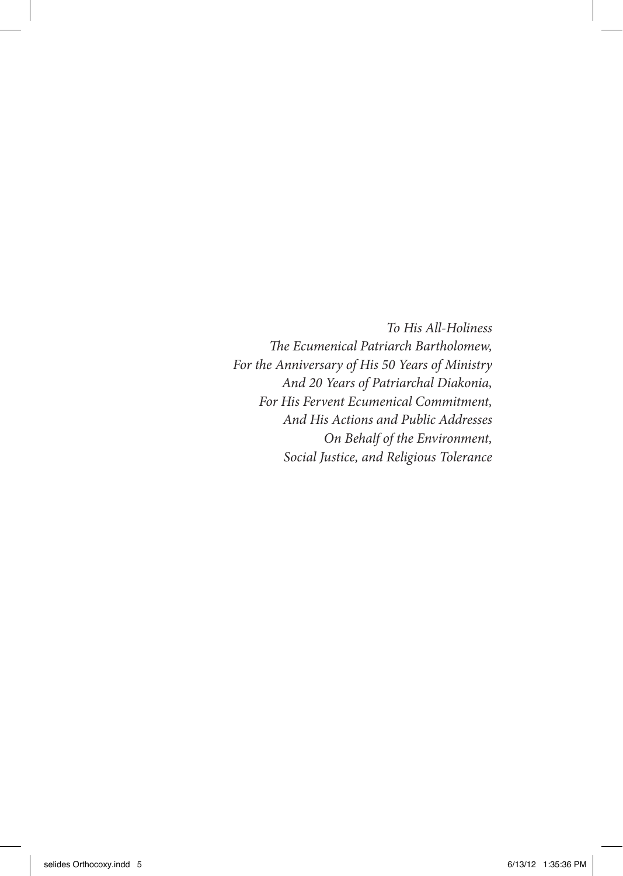*To His All-Holiness The Ecumenical Patriarch Bartholomew, For the Anniversary of His 50 Years of Ministry And 20 Years of Patriarchal Diakonia, For His Fervent Ecumenical Commitment, And His Actions and Public Addresses On Behalf of the Environment, Social Justice, and Religious Tolerance*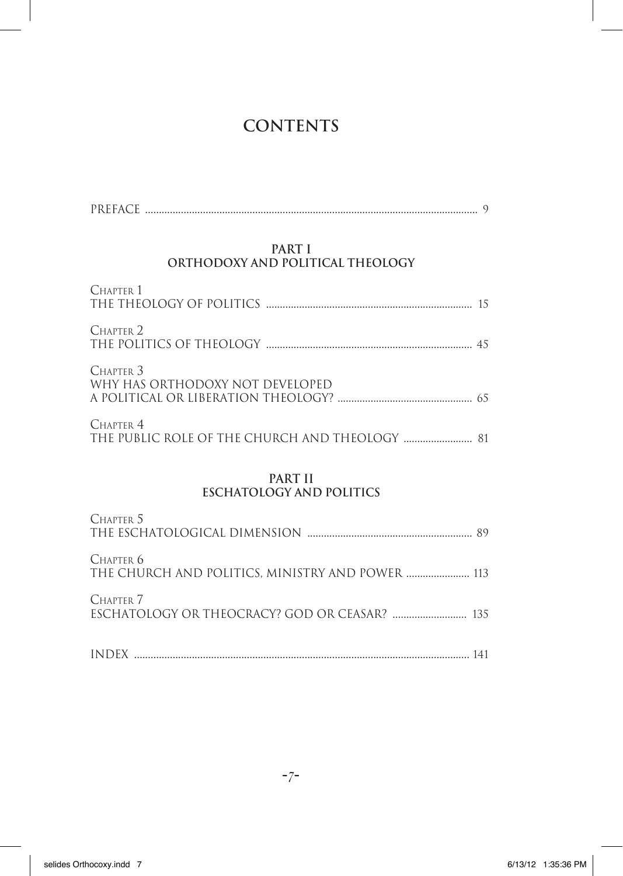## **CONTENTS**

#### **PART I ORTHODOXY AND POLITICAL THEOLOGY**

| CHAPTER 1                                    |  |
|----------------------------------------------|--|
| CHAPTER 2                                    |  |
| CHAPTER 3<br>WHY HAS ORTHODOXY NOT DEVELOPED |  |
| CHAPTER 4                                    |  |

#### **PART II ESCHATOLOGY AND POLITICS**

| CHAPTER <sub>5</sub>                                          |  |
|---------------------------------------------------------------|--|
| CHAPTER 6<br>THE CHURCH AND POLITICS, MINISTRY AND POWER  113 |  |
| CHAPTER 7                                                     |  |
|                                                               |  |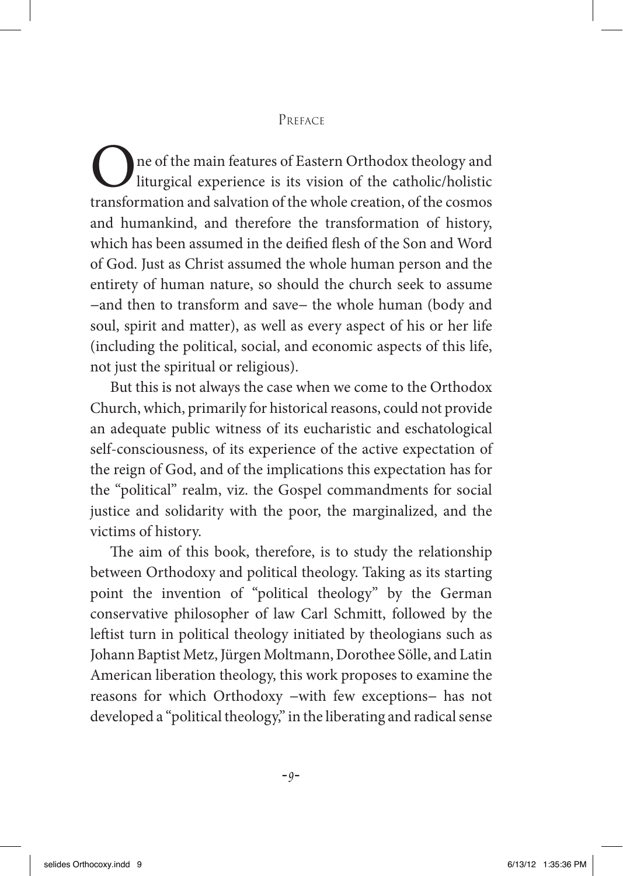#### PREFACE

Ine of the main features of Eastern Orthodox theology and liturgical experience is its vision of the catholic/holistic transformation and salvation of the whole creation, of the cosmos and humankind, and therefore the transformation of history, which has been assumed in the deified flesh of the Son and Word of God. Just as Christ assumed the whole human person and the entirety of human nature, so should the church seek to assume -and then to transform and save- the whole human (body and soul, spirit and matter), as well as every aspect of his or her life (including the political, social, and economic aspects of this life, not just the spiritual or religious).

But this is not always the case when we come to the Orthodox Church, which, primarily for historical reasons, could not provide an adequate public witness of its eucharistic and eschatological self-consciousness, of its experience of the active expectation of the reign of God, and of the implications this expectation has for the "political" realm, viz. the Gospel commandments for social justice and solidarity with the poor, the marginalized, and the victims of history.

The aim of this book, therefore, is to study the relationship between Orthodoxy and political theology. Taking as its starting point the invention of "political theology" by the German conservative philosopher of law Carl Schmitt, followed by the leftist turn in political theology initiated by theologians such as Johann Baptist Metz, Jürgen Moltmann, Dorothee Sölle, and Latin American liberation theology, this work proposes to examine the reasons for which Orthodoxy -with few exceptions- has not developed a "political theology," in the liberating and radical sense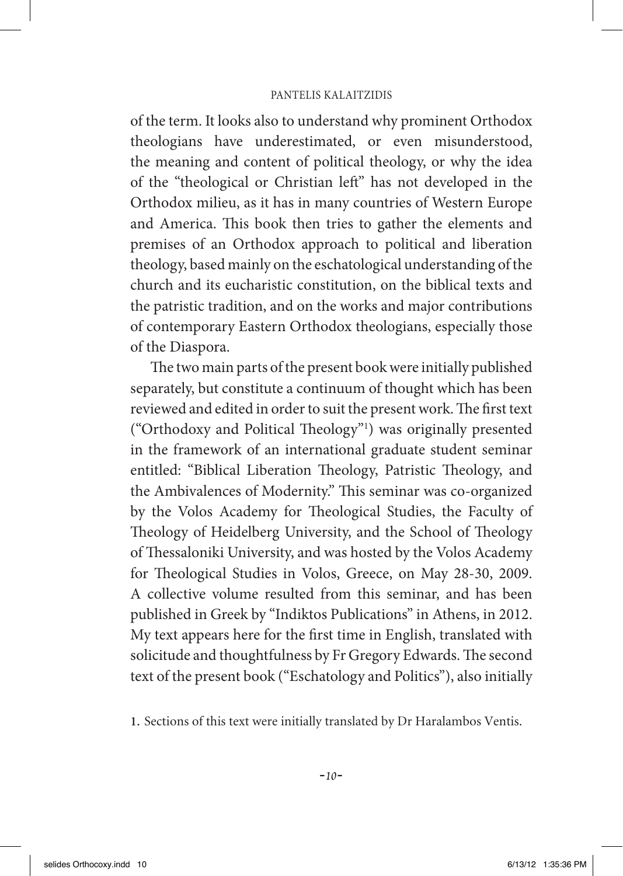#### PANTELIS KALAITZIDIS

of the term. It looks also to understand why prominent Orthodox theologians have underestimated, or even misunderstood, the meaning and content of political theology, or why the idea of the "theological or Christian left" has not developed in the Orthodox milieu, as it has in many countries of Western Europe and America. This book then tries to gather the elements and premises of an Orthodox approach to political and liberation theology, based mainly on the eschatological understanding of the church and its eucharistic constitution, on the biblical texts and the patristic tradition, and on the works and major contributions of contemporary Eastern Orthodox theologians, especially those of the Diaspora.

The two main parts of the present book were initially published separately, but constitute a continuum of thought which has been reviewed and edited in order to suit the present work. The first text ("Orthodoxy and Political Theology"1 ) was originally presented in the framework of an international graduate student seminar entitled: "Biblical Liberation Theology, Patristic Theology, and the Ambivalences of Modernity." This seminar was co-organized by the Volos Academy for Theological Studies, the Faculty of Theology of Heidelberg University, and the School of Theology of Thessaloniki University, and was hosted by the Volos Academy for Theological Studies in Volos, Greece, on May 28-30, 2009. A collective volume resulted from this seminar, and has been published in Greek by "Indiktos Publications" in Athens, in 2012. My text appears here for the first time in English, translated with solicitude and thoughtfulness by Fr Gregory Edwards. The second text of the present book ("Eschatology and Politics"), also initially

**<sup>1.</sup>** Sections of this text were initially translated by Dr Haralambos Ventis.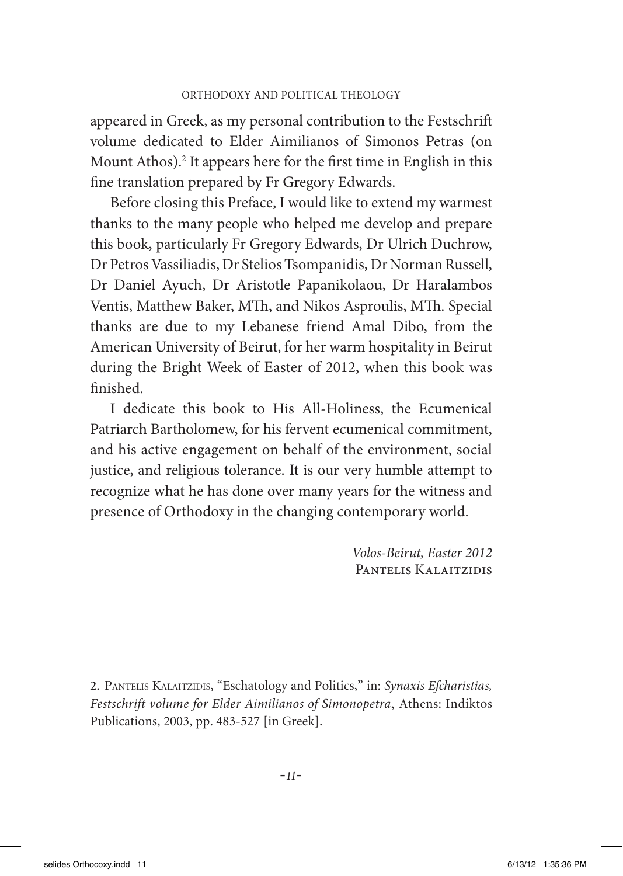appeared in Greek, as my personal contribution to the Festschrift volume dedicated to Elder Aimilianos of Simonos Petras (on Mount Athos).2 It appears here for the first time in English in this fine translation prepared by Fr Gregory Edwards.

Before closing this Preface, I would like to extend my warmest thanks to the many people who helped me develop and prepare this book, particularly Fr Gregory Edwards, Dr Ulrich Duchrow, Dr Petros Vassiliadis, Dr Stelios Tsompanidis, Dr Norman Russell, Dr Daniel Ayuch, Dr Aristotle Papanikolaou, Dr Haralambos Ventis, Matthew Baker, MTh, and Nikos Asproulis, MTh. Special thanks are due to my Lebanese friend Amal Dibo, from the American University of Beirut, for her warm hospitality in Beirut during the Bright Week of Easter of 2012, when this book was finished.

I dedicate this book to His All-Holiness, the Ecumenical Patriarch Bartholomew, for his fervent ecumenical commitment, and his active engagement on behalf of the environment, social justice, and religious tolerance. It is our very humble attempt to recognize what he has done over many years for the witness and presence of Orthodoxy in the changing contemporary world.

> *Volos-Beirut, Easter 2012* PANTELIS KALAITZIDIS

**2.** Pantelis Kalaitzidis, "Eschatology and Politics," in: *Synaxis Efcharistias, Festschrift volume for Elder Aimilianos of Simonopetra*, Athens: Indiktos Publications, 2003, pp. 483-527 [in Greek].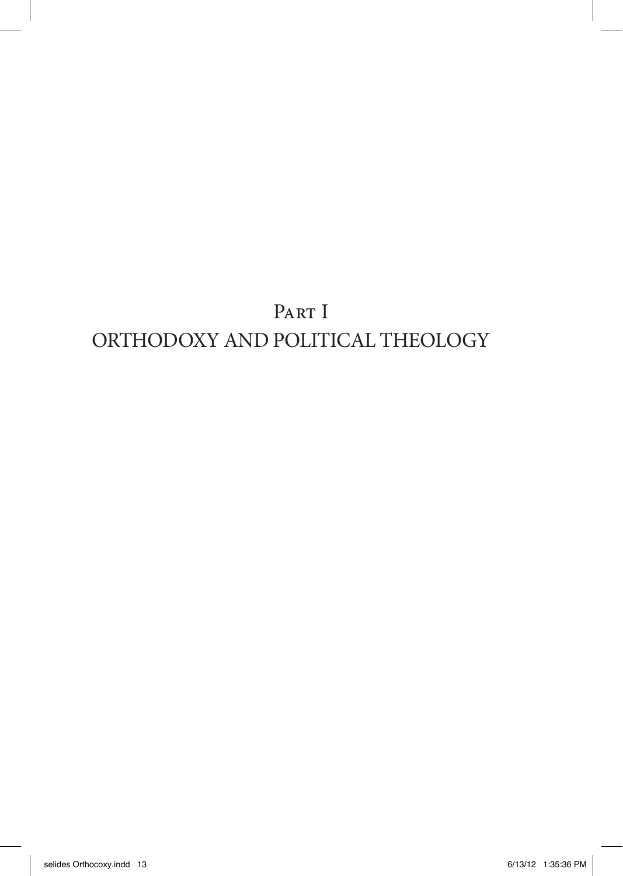# PART I ORTHODOXY AND POLITICAL THEOLOGY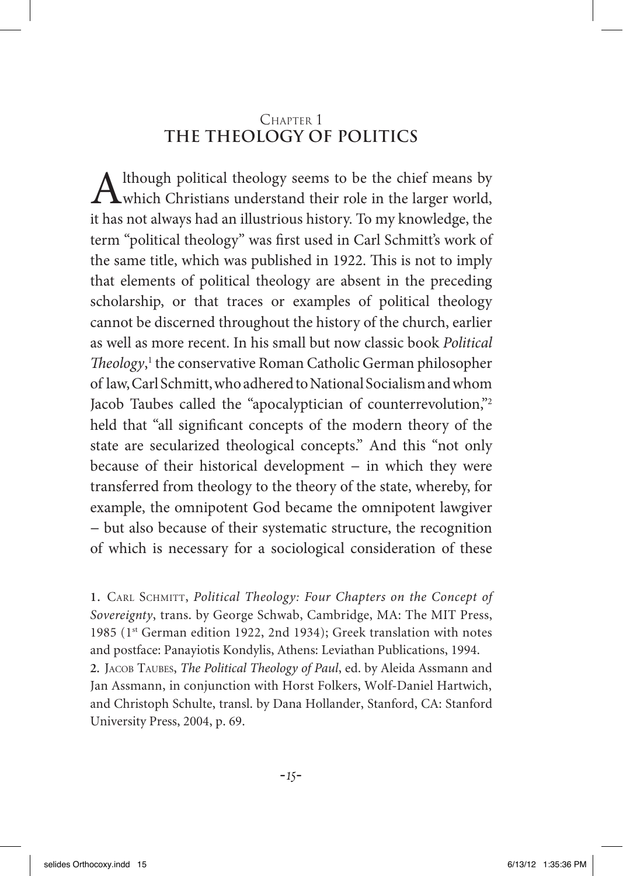## CHAPTER 1 **The Theology of Politics**

Although political theology seems to be the chief means by  $\Gamma$  which Christians understand their role in the larger world, it has not always had an illustrious history. To my knowledge, the term "political theology" was first used in Carl Schmitt's work of the same title, which was published in 1922. This is not to imply that elements of political theology are absent in the preceding scholarship, or that traces or examples of political theology cannot be discerned throughout the history of the church, earlier as well as more recent. In his small but now classic book *Political*  Theology,<sup>1</sup> the conservative Roman Catholic German philosopher of law, Carl Schmitt, who adhered to National Socialism and whom Jacob Taubes called the "apocalyptician of counterrevolution,"2 held that "all significant concepts of the modern theory of the state are secularized theological concepts." And this "not only because of their historical development  $-$  in which they were transferred from theology to the theory of the state, whereby, for example, the omnipotent God became the omnipotent lawgiver ‒ but also because of their systematic structure, the recognition of which is necessary for a sociological consideration of these

**1.** Carl Schmitt, *Political Theology: Four Chapters on the Concept of Sovereignty*, trans. by George Schwab, Cambridge, MA: The MIT Press, 1985 (1<sup>st</sup> German edition 1922, 2nd 1934); Greek translation with notes and postface: Panayiotis Kondylis, Athens: Leviathan Publications, 1994. **2.** Jacob Taubes, *The Political Theology of Paul*, ed. by Aleida Assmann and Jan Assmann, in conjunction with Horst Folkers, Wolf-Daniel Hartwich, and Christoph Schulte, transl. by Dana Hollander, Stanford, CA: Stanford University Press, 2004, p. 69.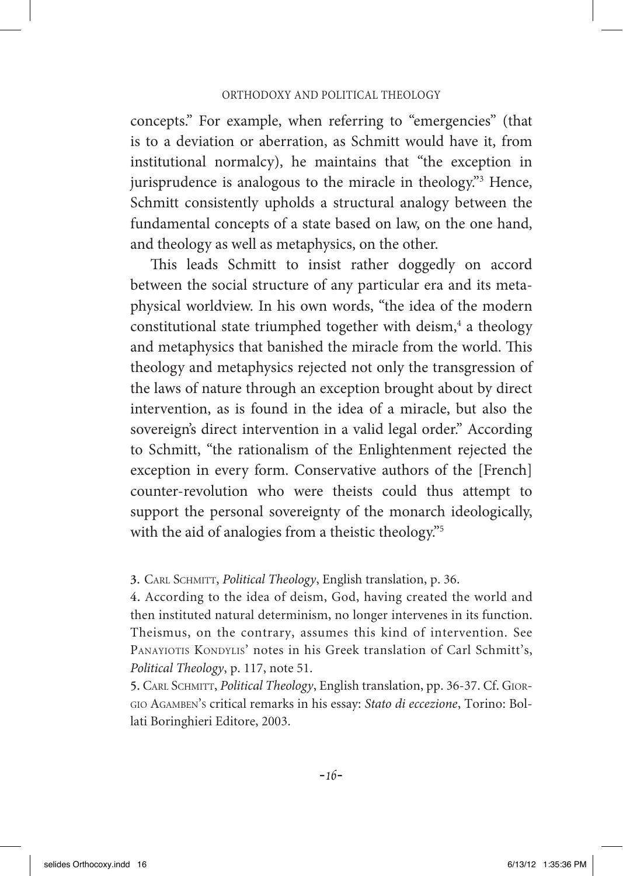concepts." For example, when referring to "emergencies" (that is to a deviation or aberration, as Schmitt would have it, from institutional normalcy), he maintains that "the exception in jurisprudence is analogous to the miracle in theology."3 Hence, Schmitt consistently upholds a structural analogy between the fundamental concepts of a state based on law, on the one hand, and theology as well as metaphysics, on the other.

This leads Schmitt to insist rather doggedly on accord between the social structure of any particular era and its metaphysical worldview. In his own words, "the idea of the modern constitutional state triumphed together with deism,<sup>4</sup> a theology and metaphysics that banished the miracle from the world. This theology and metaphysics rejected not only the transgression of the laws of nature through an exception brought about by direct intervention, as is found in the idea of a miracle, but also the sovereign's direct intervention in a valid legal order." According to Schmitt, "the rationalism of the Enlightenment rejected the exception in every form. Conservative authors of the [French] counter-revolution who were theists could thus attempt to support the personal sovereignty of the monarch ideologically, with the aid of analogies from a theistic theology."5

**3.** Carl Schmitt, *Political Theology*, English translation, p. 36.

**4.** According to the idea of deism, God, having created the world and then instituted natural determinism, no longer intervenes in its function. Theismus, on the contrary, assumes this kind of intervention. See PANAYIOTIS KONDYLIS' notes in his Greek translation of Carl Schmitt's, *Political Theology*, p. 117, note 51.

**5.** Carl Schmitt, *Political Theology*, English translation, pp. 36-37. Cf. Giorgio Agamben's critical remarks in his essay: *Stato di eccezione*, Torino: Bollati Boringhieri Editore, 2003.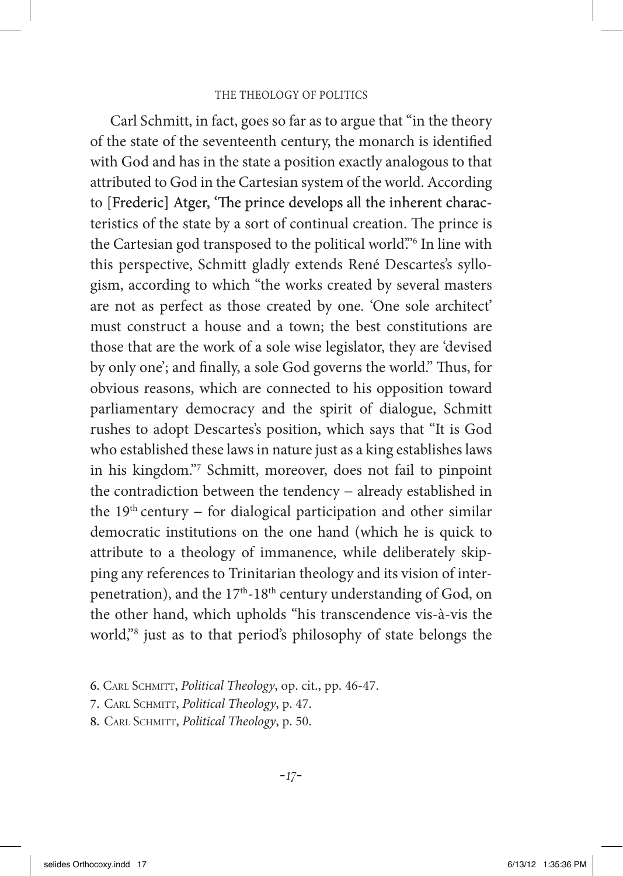Carl Schmitt, in fact, goes so far as to argue that "in the theory of the state of the seventeenth century, the monarch is identified with God and has in the state a position exactly analogous to that attributed to God in the Cartesian system of the world. According to [Frederic] Atger, 'The prince develops all the inherent characteristics of the state by a sort of continual creation. The prince is the Cartesian god transposed to the political world."<sup>6</sup> In line with this perspective, Schmitt gladly extends René Descartes's syllogism, according to which "the works created by several masters are not as perfect as those created by one. 'One sole architect' must construct a house and a town; the best constitutions are those that are the work of a sole wise legislator, they are 'devised by only one'; and finally, a sole God governs the world." Thus, for obvious reasons, which are connected to his opposition toward parliamentary democracy and the spirit of dialogue, Schmitt rushes to adopt Descartes's position, which says that "It is God who established these laws in nature just as a king establishes laws in his kingdom."7 Schmitt, moreover, does not fail to pinpoint the contradiction between the tendency - already established in the  $19<sup>th</sup>$  century – for dialogical participation and other similar democratic institutions on the one hand (which he is quick to attribute to a theology of immanence, while deliberately skipping any references to Trinitarian theology and its vision of interpenetration), and the 17<sup>th</sup>-18<sup>th</sup> century understanding of God, on the other hand, which upholds "his transcendence vis-à-vis the world,"8 just as to that period's philosophy of state belongs the

**<sup>6.</sup>** Carl Schmitt, *Political Theology*, op. cit., pp. 46-47.

**<sup>7.</sup>** Carl Schmitt, *Political Theology*, p. 47.

**<sup>8.</sup>** Carl Schmitt, *Political Theology*, p. 50.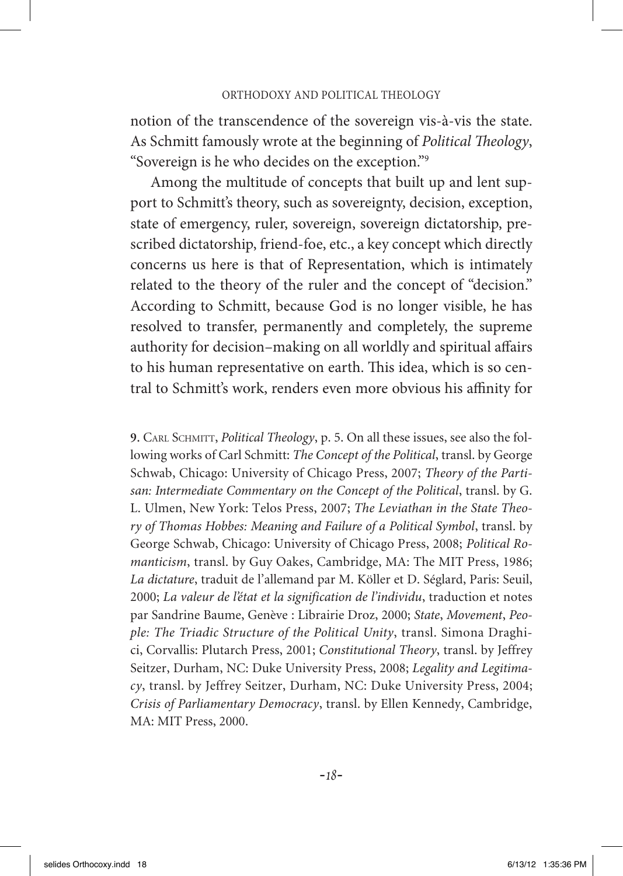notion of the transcendence of the sovereign vis-à-vis the state. As Schmitt famously wrote at the beginning of *Political Theology*, "Sovereign is he who decides on the exception."9

Among the multitude of concepts that built up and lent support to Schmitt's theory, such as sovereignty, decision, exception, state of emergency, ruler, sovereign, sovereign dictatorship, prescribed dictatorship, friend-foe, etc., a key concept which directly concerns us here is that of Representation, which is intimately related to the theory of the ruler and the concept of "decision." According to Schmitt, because God is no longer visible, he has resolved to transfer, permanently and completely, the supreme authority for decision–making on all worldly and spiritual affairs to his human representative on earth. This idea, which is so central to Schmitt's work, renders even more obvious his affinity for

**9.** Carl Schmitt, *Political Theology*, p. 5. On all these issues, see also the following works of Carl Schmitt: *The Concept of the Political*, transl. by George Schwab, Chicago: University of Chicago Press, 2007; *Theory of the Partisan: Intermediate Commentary on the Concept of the Political*, transl. by G. L. Ulmen, New York: Telos Press, 2007; *The Leviathan in the State Theory of Thomas Hobbes: Meaning and Failure of a Political Symbol*, transl. by George Schwab, Chicago: University of Chicago Press, 2008; *Political Romanticism*, transl. by Guy Oakes, Cambridge, MA: The MIT Press, 1986; *La dictature*, traduit de l'allemand par M. Köller et D. Séglard, Paris: Seuil, 2000; *La valeur de l'état et la signification de l'individu*, traduction et notes par Sandrine Baume, Genève : Librairie Droz, 2000; *State*, *Movement*, *People: The Triadic Structure of the Political Unity*, transl. Simona Draghici, Corvallis: Plutarch Press, 2001; *Constitutional Theory*, transl. by Jeffrey Seitzer, Durham, NC: Duke University Press, 2008; *Legality and Legitimacy*, transl. by Jeffrey Seitzer, Durham, NC: Duke University Press, 2004; *Crisis of Parliamentary Democracy*, transl. by Ellen Kennedy, Cambridge, MA: MIT Press, 2000.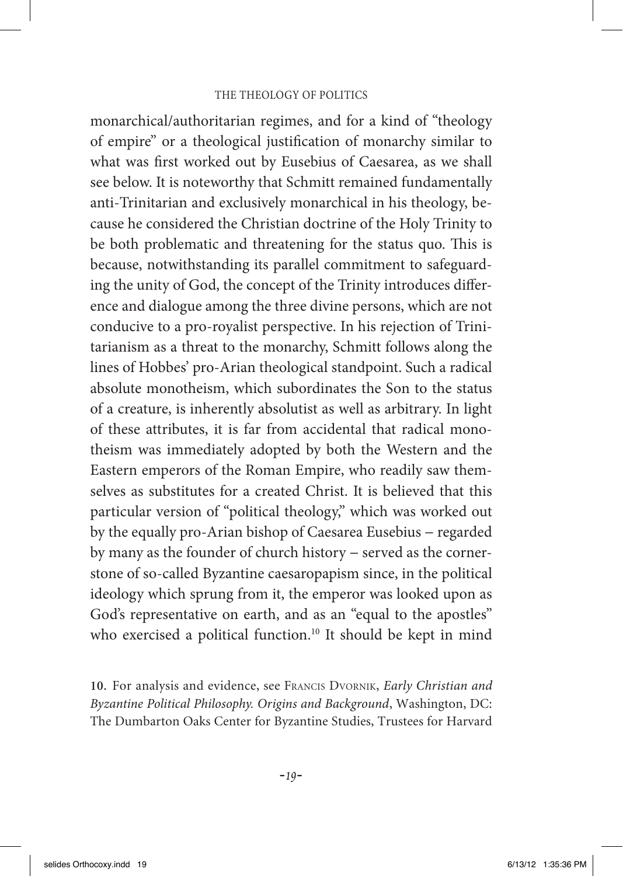monarchical/authoritarian regimes, and for a kind of "theology of empire" or a theological justification of monarchy similar to what was first worked out by Eusebius of Caesarea, as we shall see below. It is noteworthy that Schmitt remained fundamentally anti-Trinitarian and exclusively monarchical in his theology, because he considered the Christian doctrine of the Holy Trinity to be both problematic and threatening for the status quo. This is because, notwithstanding its parallel commitment to safeguarding the unity of God, the concept of the Trinity introduces difference and dialogue among the three divine persons, which are not conducive to a pro-royalist perspective. In his rejection of Trinitarianism as a threat to the monarchy, Schmitt follows along the lines of Hobbes' pro-Arian theological standpoint. Such a radical absolute monotheism, which subordinates the Son to the status of a creature, is inherently absolutist as well as arbitrary. In light of these attributes, it is far from accidental that radical monotheism was immediately adopted by both the Western and the Eastern emperors of the Roman Empire, who readily saw themselves as substitutes for a created Christ. It is believed that this particular version of "political theology," which was worked out by the equally pro-Arian bishop of Caesarea Eusebius - regarded by many as the founder of church history – served as the cornerstone of so-called Byzantine caesaropapism since, in the political ideology which sprung from it, the emperor was looked upon as God's representative on earth, and as an "equal to the apostles" who exercised a political function.<sup>10</sup> It should be kept in mind

**10.** For analysis and evidence, see Francis Dvornik, *Early Christian and Byzantine Political Philosophy. Origins and Background*, Washington, DC: The Dumbarton Oaks Center for Byzantine Studies, Trustees for Harvard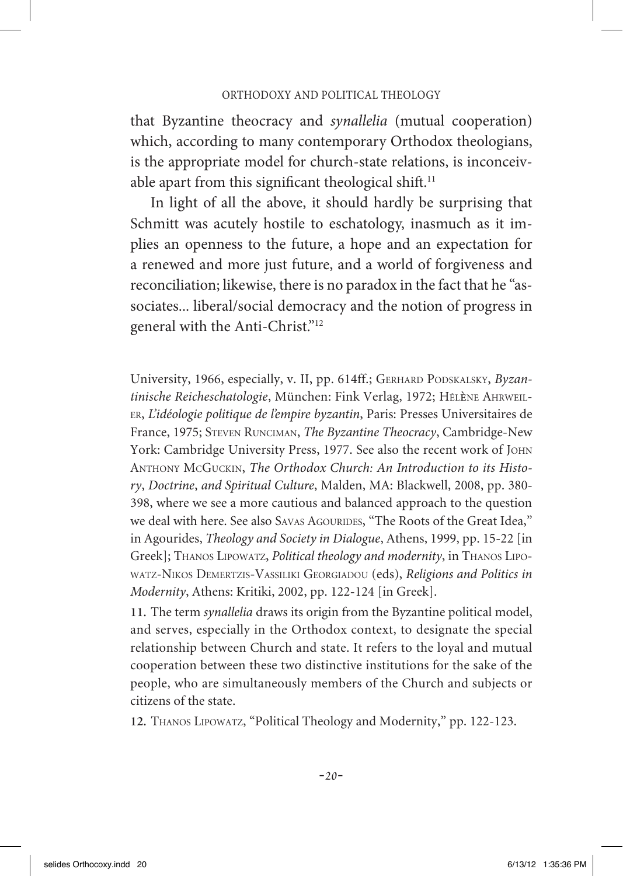that Byzantine theocracy and *synallelia* (mutual cooperation) which, according to many contemporary Orthodox theologians, is the appropriate model for church-state relations, is inconceivable apart from this significant theological shift.<sup>11</sup>

In light of all the above, it should hardly be surprising that Schmitt was acutely hostile to eschatology, inasmuch as it implies an openness to the future, a hope and an expectation for a renewed and more just future, and a world of forgiveness and reconciliation; likewise, there is no paradox in the fact that he "associates... liberal/social democracy and the notion of progress in general with the Anti-Christ."12

University, 1966, especially, v. II, pp. 614ff.; GERHARD PODSKALSKY, *Byzantinische Reicheschatologie*, München: Fink Verlag, 1972; Hélène Ahrweiler, *L'idéologie politique de l'empire byzantin*, Paris: Presses Universitaires de France, 1975; Steven Runciman, *The Byzantine Theocracy*, Cambridge-New York: Cambridge University Press, 1977. See also the recent work of JOHN Anthony McGuckin, *The Orthodox Church: An Introduction to its History*, *Doctrine*, *and Spiritual Culture*, Malden, MA: Blackwell, 2008, pp. 380- 398, where we see a more cautious and balanced approach to the question we deal with here. See also SAVAS AGOURIDES, "The Roots of the Great Idea," in Agourides, *Theology and Society in Dialogue*, Athens, 1999, pp. 15-22 [in Greek]; Thanos Lipowatz, *Political theology and modernity*, in Thanos Lipowatz-Nikos Demertzis-Vassiliki Georgiadou (eds), *Religions and Politics in Modernity*, Athens: Kritiki, 2002, pp. 122-124 [in Greek].

**11.** The term *synallelia* draws its origin from the Byzantine political model, and serves, especially in the Orthodox context, to designate the special relationship between Church and state. It refers to the loyal and mutual cooperation between these two distinctive institutions for the sake of the people, who are simultaneously members of the Church and subjects or citizens of the state.

**12.** Thanos Lipowatz, "Political Theology and Modernity," pp. 122-123.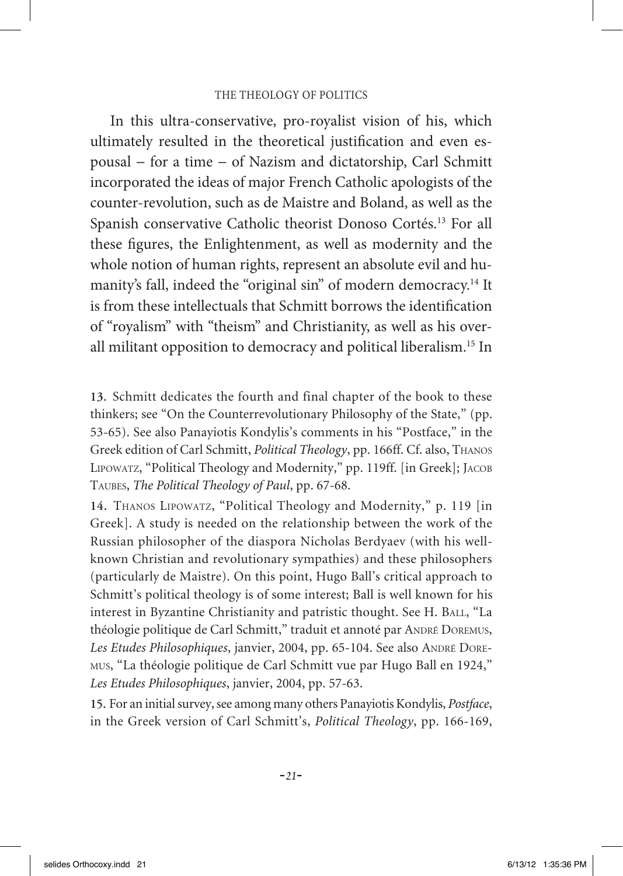In this ultra-conservative, pro-royalist vision of his, which ultimately resulted in the theoretical justification and even espousal ‒ for a time ‒ of Nazism and dictatorship, Carl Schmitt incorporated the ideas of major French Catholic apologists of the counter-revolution, such as de Maistre and Boland, as well as the Spanish conservative Catholic theorist Donoso Cortés.13 For all these figures, the Enlightenment, as well as modernity and the whole notion of human rights, represent an absolute evil and humanity's fall, indeed the "original sin" of modern democracy.<sup>14</sup> It is from these intellectuals that Schmitt borrows the identification of "royalism" with "theism" and Christianity, as well as his overall militant opposition to democracy and political liberalism.15 In

**13.** Schmitt dedicates the fourth and final chapter of the book to these thinkers; see "On the Counterrevolutionary Philosophy of the State," (pp. 53-65). See also Panayiotis Kondylis's comments in his "Postface," in the Greek edition of Carl Schmitt, *Political Theology*, pp. 166ff. Cf. also, Thanos Lipowatz, "Political Theology and Modernity," pp. 119ff. [in Greek]; Jacob Taubes, *The Political Theology of Paul*, pp. 67-68.

**14.** Thanos Lipowatz, "Political Theology and Modernity," p. 119 [in Greek]. A study is needed on the relationship between the work of the Russian philosopher of the diaspora Nicholas Berdyaev (with his wellknown Christian and revolutionary sympathies) and these philosophers (particularly de Maistre). On this point, Hugo Ball's critical approach to Schmitt's political theology is of some interest; Ball is well known for his interest in Byzantine Christianity and patristic thought. See H. Ball, "La théologie politique de Carl Schmitt," traduit et annoté par ANDRÉ DOREMUS, Les Etudes Philosophiques, janvier, 2004, pp. 65-104. See also ANDRÉ DOREmus, "La théologie politique de Carl Schmitt vue par Hugo Ball en 1924," *Les Etudes Philosophiques*, janvier, 2004, pp. 57-63.

**15.** For an initial survey, see among many others Panayiotis Kondylis, *Postface*, in the Greek version of Carl Schmitt's, *Political Theology*, pp. 166-169,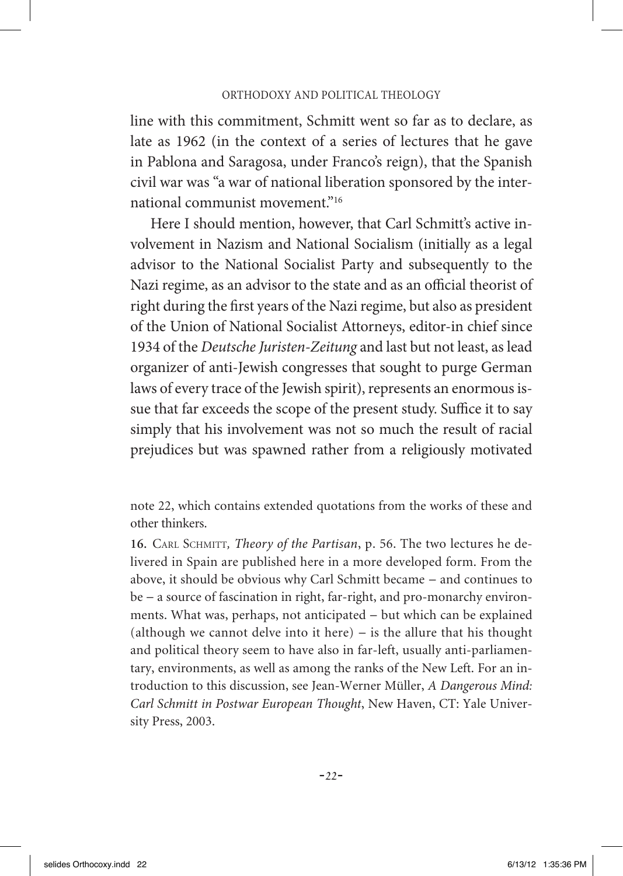line with this commitment, Schmitt went so far as to declare, as late as 1962 (in the context of a series of lectures that he gave in Pablona and Saragosa, under Franco's reign), that the Spanish civil war was "a war of national liberation sponsored by the international communist movement<sup>"16</sup>

Here I should mention, however, that Carl Schmitt's active involvement in Nazism and National Socialism (initially as a legal advisor to the National Socialist Party and subsequently to the Nazi regime, as an advisor to the state and as an official theorist of right during the first years of the Nazi regime, but also as president of the Union of National Socialist Attorneys, editor-in chief since 1934 of the *Deutsche Juristen-Zeitung* and last but not least, as lead organizer of anti-Jewish congresses that sought to purge German laws of every trace of the Jewish spirit), represents an enormous issue that far exceeds the scope of the present study. Suffice it to say simply that his involvement was not so much the result of racial prejudices but was spawned rather from a religiously motivated

note 22, which contains extended quotations from the works of these and other thinkers.

16. CARL SCHMITT, Theory of the Partisan, p. 56. The two lectures he delivered in Spain are published here in a more developed form. From the above, it should be obvious why Carl Schmitt became – and continues to be – a source of fascination in right, far-right, and pro-monarchy environments. What was, perhaps, not anticipated – but which can be explained (although we cannot delve into it here)  $-$  is the allure that his thought and political theory seem to have also in far-left, usually anti-parliamentary, environments, as well as among the ranks of the New Left. For an introduction to this discussion, see Jean-Werner Müller, *A Dangerous Mind: Carl Schmitt in Postwar European Thought*, New Haven, CT: Yale University Press, 2003.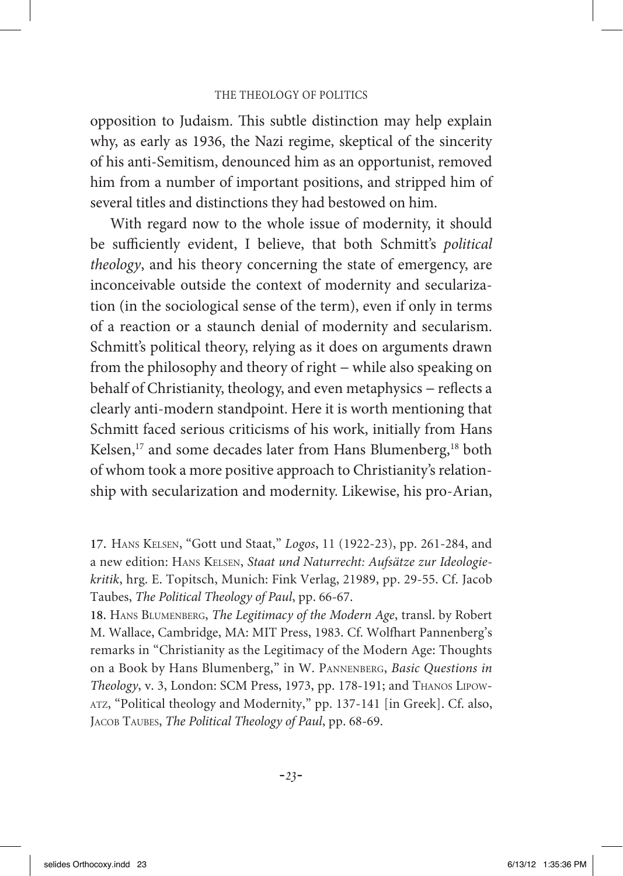opposition to Judaism. This subtle distinction may help explain why, as early as 1936, the Nazi regime, skeptical of the sincerity of his anti-Semitism, denounced him as an opportunist, removed him from a number of important positions, and stripped him of several titles and distinctions they had bestowed on him.

With regard now to the whole issue of modernity, it should be sufficiently evident, I believe, that both Schmitt's *political theology*, and his theory concerning the state of emergency, are inconceivable outside the context of modernity and secularization (in the sociological sense of the term), even if only in terms of a reaction or a staunch denial of modernity and secularism. Schmitt's political theory, relying as it does on arguments drawn from the philosophy and theory of right – while also speaking on behalf of Christianity, theology, and even metaphysics - reflects a clearly anti-modern standpoint. Here it is worth mentioning that Schmitt faced serious criticisms of his work, initially from Hans Kelsen,<sup>17</sup> and some decades later from Hans Blumenberg,<sup>18</sup> both of whom took a more positive approach to Christianity's relationship with secularization and modernity. Likewise, his pro-Arian,

**17.** Hans Kelsen, "Gott und Staat," *Logos*, 11 (1922-23), pp. 261-284, and a new edition: Hans Kelsen, *Staat und Naturrecht: Aufsätze zur Ideologiekritik*, hrg. E. Topitsch, Munich: Fink Verlag, 21989, pp. 29-55. Cf. Jacob Taubes, *The Political Theology of Paul*, pp. 66-67.

**18.** Hans Blumenberg, *The Legitimacy of the Modern Age*, transl. by Robert M. Wallace, Cambridge, MA: MIT Press, 1983. Cf. Wolfhart Pannenberg's remarks in "Christianity as the Legitimacy of the Modern Age: Thoughts on a Book by Hans Blumenberg," in W. Pannenberg, *Basic Questions in Theology*, v. 3, London: SCM Press, 1973, pp. 178-191; and Thanos Lipowatz, "Political theology and Modernity," pp. 137-141 [in Greek]. Cf. also, Jacob Taubes, *The Political Theology of Paul*, pp. 68-69.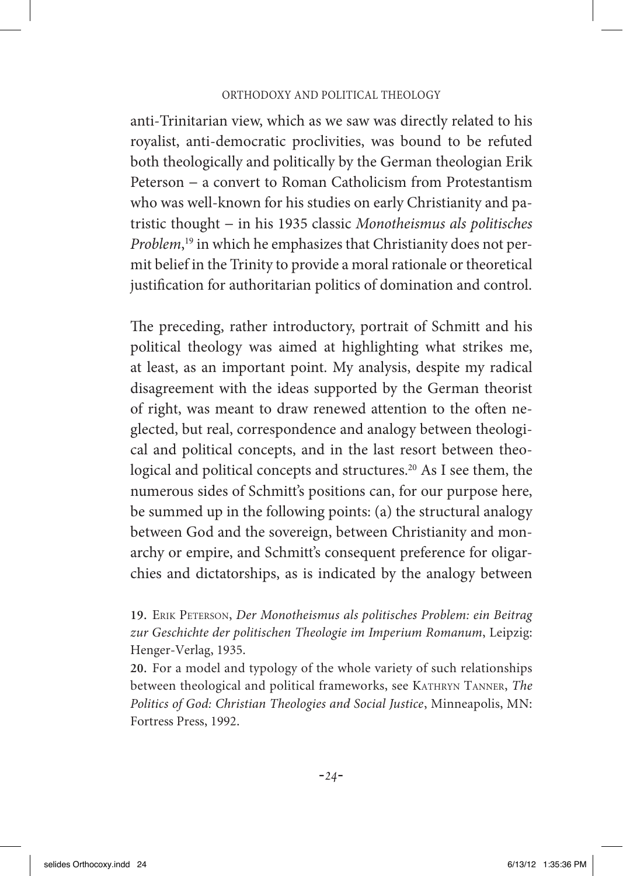anti-Trinitarian view, which as we saw was directly related to his royalist, anti-democratic proclivities, was bound to be refuted both theologically and politically by the German theologian Erik Peterson ‒ a convert to Roman Catholicism from Protestantism who was well-known for his studies on early Christianity and patristic thought ‒ in his 1935 classic *Monotheismus als politisches Problem*, 19 in which he emphasizes that Christianity does not permit belief in the Trinity to provide a moral rationale or theoretical justification for authoritarian politics of domination and control.

The preceding, rather introductory, portrait of Schmitt and his political theology was aimed at highlighting what strikes me, at least, as an important point. My analysis, despite my radical disagreement with the ideas supported by the German theorist of right, was meant to draw renewed attention to the often neglected, but real, correspondence and analogy between theological and political concepts, and in the last resort between theological and political concepts and structures.<sup>20</sup> As I see them, the numerous sides of Schmitt's positions can, for our purpose here, be summed up in the following points: (a) the structural analogy between God and the sovereign, between Christianity and monarchy or empire, and Schmitt's consequent preference for oligarchies and dictatorships, as is indicated by the analogy between

**<sup>19.</sup>** Erik Peterson, *Der Monotheismus als politisches Problem: ein Beitrag zur Geschichte der politischen Theologie im Imperium Romanum*, Leipzig: Henger-Verlag, 1935.

**<sup>20.</sup>** For a model and typology of the whole variety of such relationships between theological and political frameworks, see Kathryn Tanner, *The Politics of God: Christian Theologies and Social Justice*, Minneapolis, MN: Fortress Press, 1992.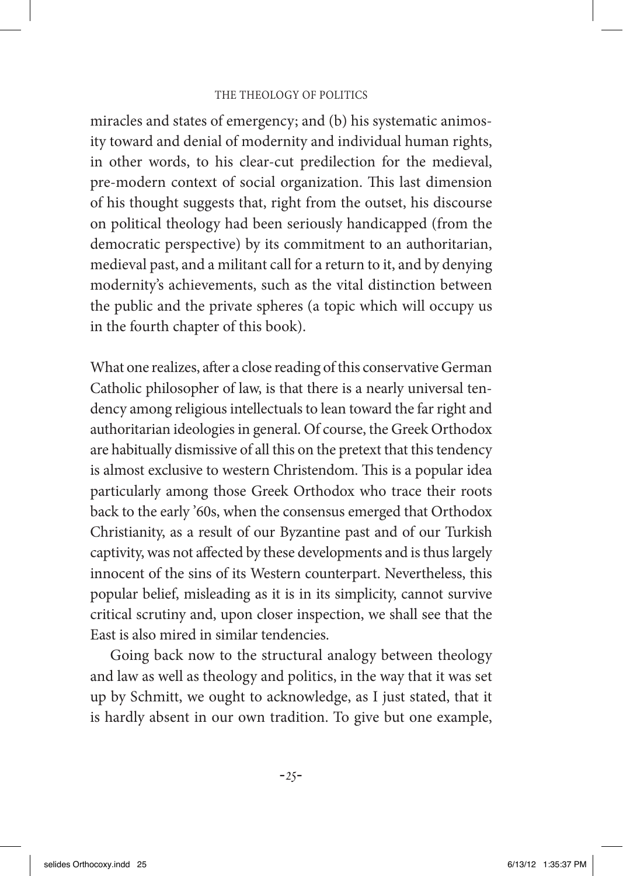miracles and states of emergency; and (b) his systematic animosity toward and denial of modernity and individual human rights, in other words, to his clear-cut predilection for the medieval, pre-modern context of social organization. This last dimension of his thought suggests that, right from the outset, his discourse on political theology had been seriously handicapped (from the democratic perspective) by its commitment to an authoritarian, medieval past, and a militant call for a return to it, and by denying modernity's achievements, such as the vital distinction between the public and the private spheres (a topic which will occupy us in the fourth chapter of this book).

What one realizes, after a close reading of this conservative German Catholic philosopher of law, is that there is a nearly universal tendency among religious intellectuals to lean toward the far right and authoritarian ideologies in general. Of course, the Greek Orthodox are habitually dismissive of all this on the pretext that this tendency is almost exclusive to western Christendom. This is a popular idea particularly among those Greek Orthodox who trace their roots back to the early '60s, when the consensus emerged that Orthodox Christianity, as a result of our Byzantine past and of our Turkish captivity, was not affected by these developments and is thus largely innocent of the sins of its Western counterpart. Nevertheless, this popular belief, misleading as it is in its simplicity, cannot survive critical scrutiny and, upon closer inspection, we shall see that the East is also mired in similar tendencies.

Going back now to the structural analogy between theology and law as well as theology and politics, in the way that it was set up by Schmitt, we ought to acknowledge, as I just stated, that it is hardly absent in our own tradition. To give but one example,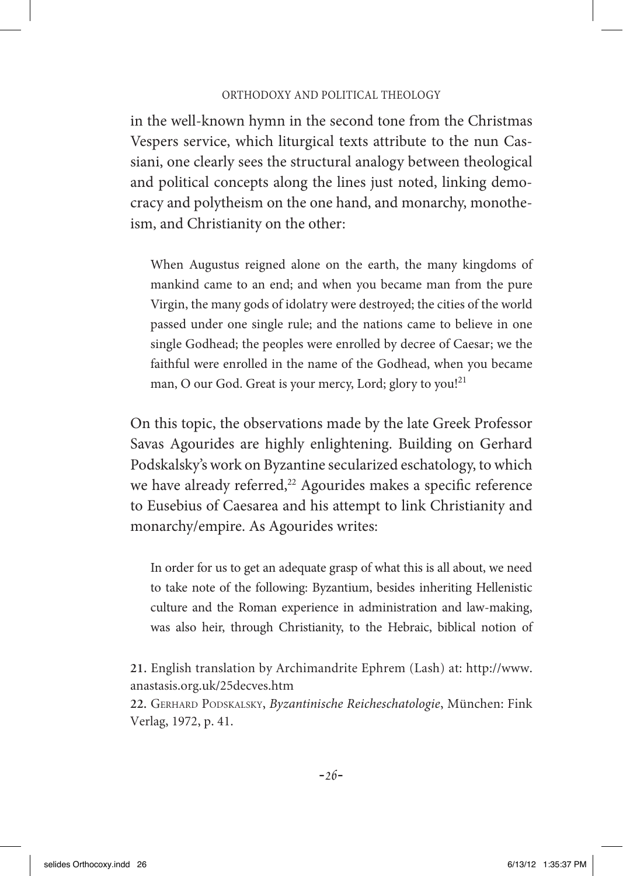in the well-known hymn in the second tone from the Christmas Vespers service, which liturgical texts attribute to the nun Cassiani, one clearly sees the structural analogy between theological and political concepts along the lines just noted, linking democracy and polytheism on the one hand, and monarchy, monotheism, and Christianity on the other:

When Augustus reigned alone on the earth, the many kingdoms of mankind came to an end; and when you became man from the pure Virgin, the many gods of idolatry were destroyed; the cities of the world passed under one single rule; and the nations came to believe in one single Godhead; the peoples were enrolled by decree of Caesar; we the faithful were enrolled in the name of the Godhead, when you became man, O our God. Great is your mercy, Lord; glory to you!<sup>21</sup>

On this topic, the observations made by the late Greek Professor Savas Agourides are highly enlightening. Building on Gerhard Podskalsky's work on Byzantine secularized eschatology, to which we have already referred,<sup>22</sup> Agourides makes a specific reference to Eusebius of Caesarea and his attempt to link Christianity and monarchy/empire. As Agourides writes:

In order for us to get an adequate grasp of what this is all about, we need to take note of the following: Byzantium, besides inheriting Hellenistic culture and the Roman experience in administration and law-making, was also heir, through Christianity, to the Hebraic, biblical notion of

**21.** English translation by Archimandrite Ephrem (Lash) at: http://www. anastasis.org.uk/25decves.htm

**22.** Gerhard Podskalsky, *Byzantinische Reicheschatologie*, München: Fink Verlag, 1972, p. 41.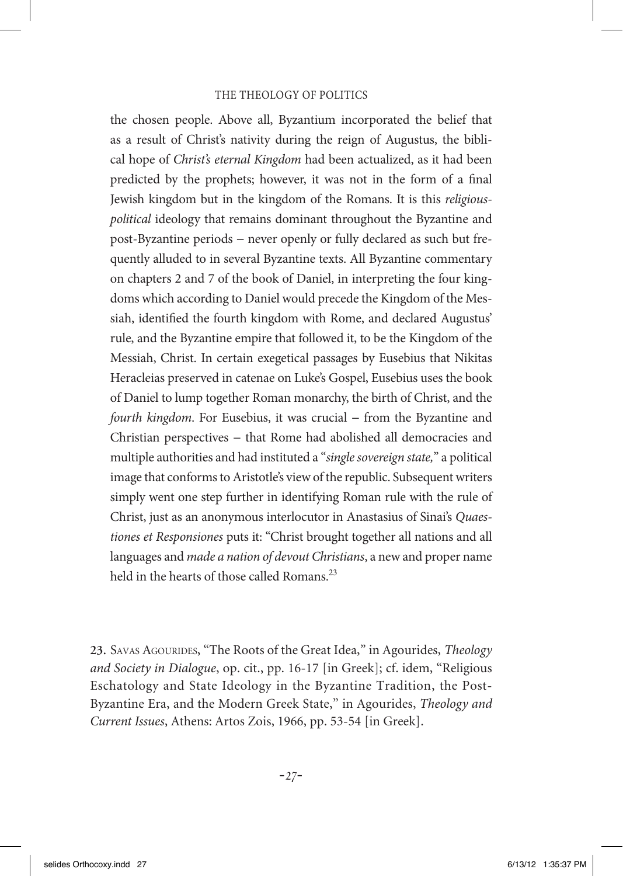the chosen people. Above all, Byzantium incorporated the belief that as a result of Christ's nativity during the reign of Augustus, the biblical hope of *Christ's eternal Kingdom* had been actualized, as it had been predicted by the prophets; however, it was not in the form of a final Jewish kingdom but in the kingdom of the Romans. It is this *religiouspolitical* ideology that remains dominant throughout the Byzantine and post-Byzantine periods ‒ never openly or fully declared as such but frequently alluded to in several Byzantine texts. All Byzantine commentary on chapters 2 and 7 of the book of Daniel, in interpreting the four kingdoms which according to Daniel would precede the Kingdom of the Messiah, identified the fourth kingdom with Rome, and declared Augustus' rule, and the Byzantine empire that followed it, to be the Kingdom of the Messiah, Christ. In certain exegetical passages by Eusebius that Nikitas Heracleias preserved in catenae on Luke's Gospel, Eusebius uses the book of Daniel to lump together Roman monarchy, the birth of Christ, and the *fourth kingdom*. For Eusebius, it was crucial – from the Byzantine and Christian perspectives – that Rome had abolished all democracies and multiple authorities and had instituted a "*single sovereign state,*" a political image that conforms to Aristotle's view of the republic. Subsequent writers simply went one step further in identifying Roman rule with the rule of Christ, just as an anonymous interlocutor in Anastasius of Sinai's *Quaestiones et Responsiones* puts it: "Christ brought together all nations and all languages and *made a nation of devout Christians*, a new and proper name held in the hearts of those called Romans.<sup>23</sup>

23. SAVAS AGOURIDES, "The Roots of the Great Idea," in Agourides, *Theology and Society in Dialogue*, op. cit., pp. 16-17 [in Greek]; cf. idem, "Religious Eschatology and State Ideology in the Byzantine Tradition, the Post-Byzantine Era, and the Modern Greek State," in Agourides, *Theology and Current Issues*, Athens: Artos Zois, 1966, pp. 53-54 [in Greek].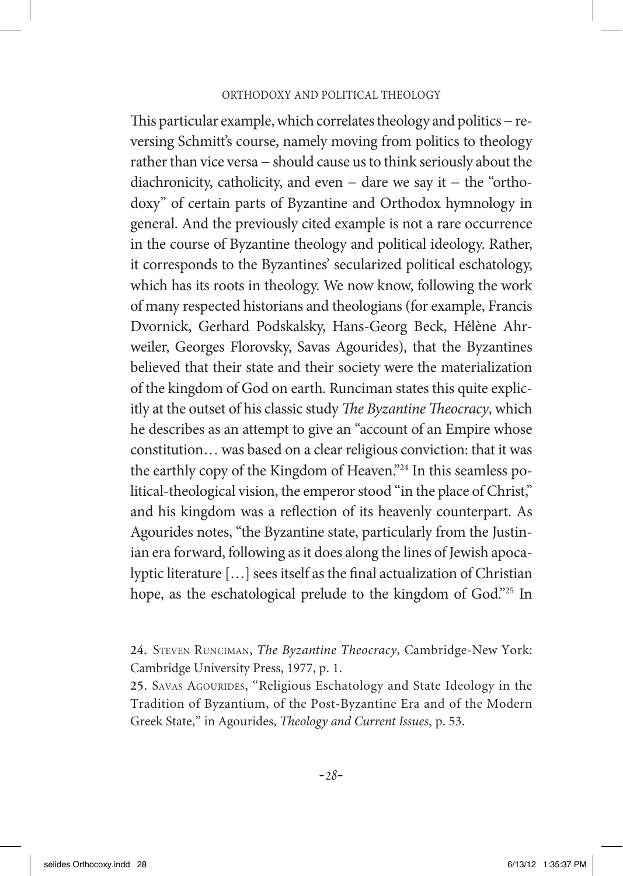This particular example, which correlates theology and politics - reversing Schmitt's course, namely moving from politics to theology rather than vice versa - should cause us to think seriously about the diachronicity, catholicity, and even  $-$  dare we say it  $-$  the "orthodoxy" of certain parts of Byzantine and Orthodox hymnology in general. And the previously cited example is not a rare occurrence in the course of Byzantine theology and political ideology. Rather, it corresponds to the Byzantines' secularized political eschatology, which has its roots in theology. We now know, following the work of many respected historians and theologians (for example, Francis Dvornick, Gerhard Podskalsky, Hans-Georg Beck, Hélène Ahrweiler, Georges Florovsky, Savas Agourides), that the Byzantines believed that their state and their society were the materialization of the kingdom of God on earth. Runciman states this quite explicitly at the outset of his classic study *The Byzantine Theocracy*, which he describes as an attempt to give an "account of an Empire whose constitution… was based on a clear religious conviction: that it was the earthly copy of the Kingdom of Heaven."24 In this seamless political-theological vision, the emperor stood "in the place of Christ," and his kingdom was a reflection of its heavenly counterpart. As Agourides notes, "the Byzantine state, particularly from the Justinian era forward, following as it does along the lines of Jewish apocalyptic literature […] sees itself as the final actualization of Christian hope, as the eschatological prelude to the kingdom of God."25 In

25. SAVAS AGOURIDES, "Religious Eschatology and State Ideology in the Tradition of Byzantium, of the Post-Byzantine Era and of the Modern Greek State," in Agourides, *Theology and Current Issues*, p. 53.

**<sup>24.</sup>** Steven Runciman, *The Byzantine Theocracy*, Cambridge-New York: Cambridge University Press, 1977, p. 1.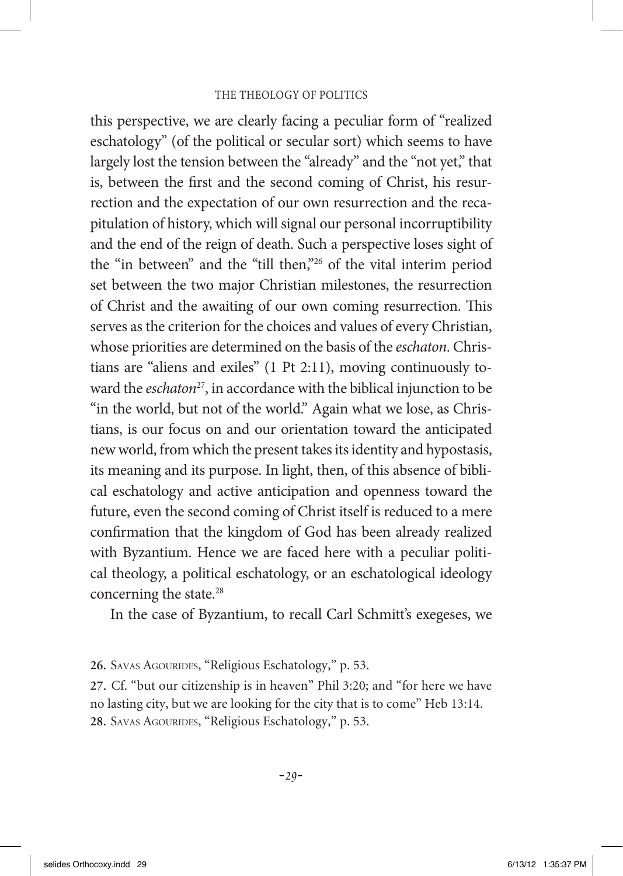this perspective, we are clearly facing a peculiar form of "realized eschatology" (of the political or secular sort) which seems to have largely lost the tension between the "already" and the "not yet," that is, between the first and the second coming of Christ, his resurrection and the expectation of our own resurrection and the recapitulation of history, which will signal our personal incorruptibility and the end of the reign of death. Such a perspective loses sight of the "in between" and the "till then,"26 of the vital interim period set between the two major Christian milestones, the resurrection of Christ and the awaiting of our own coming resurrection. This serves as the criterion for the choices and values of every Christian, whose priorities are determined on the basis of the *eschaton*. Christians are "aliens and exiles" (1 Pt 2:11), moving continuously toward the *eschaton<sup>27</sup>*, in accordance with the biblical injunction to be "in the world, but not of the world." Again what we lose, as Christians, is our focus on and our orientation toward the anticipated new world, from which the present takes its identity and hypostasis, its meaning and its purpose. In light, then, of this absence of biblical eschatology and active anticipation and openness toward the future, even the second coming of Christ itself is reduced to a mere confirmation that the kingdom of God has been already realized with Byzantium. Hence we are faced here with a peculiar political theology, a political eschatology, or an eschatological ideology concerning the state.<sup>28</sup>

In the case of Byzantium, to recall Carl Schmitt's exegeses, we

26. SAVAS AGOURIDES, "Religious Eschatology," p. 53.

**27.** Cf. "but our citizenship is in heaven" Phil 3:20; and "for here we have no lasting city, but we are looking for the city that is to come" Heb 13:14. 28. SAVAS AGOURIDES, "Religious Eschatology," p. 53.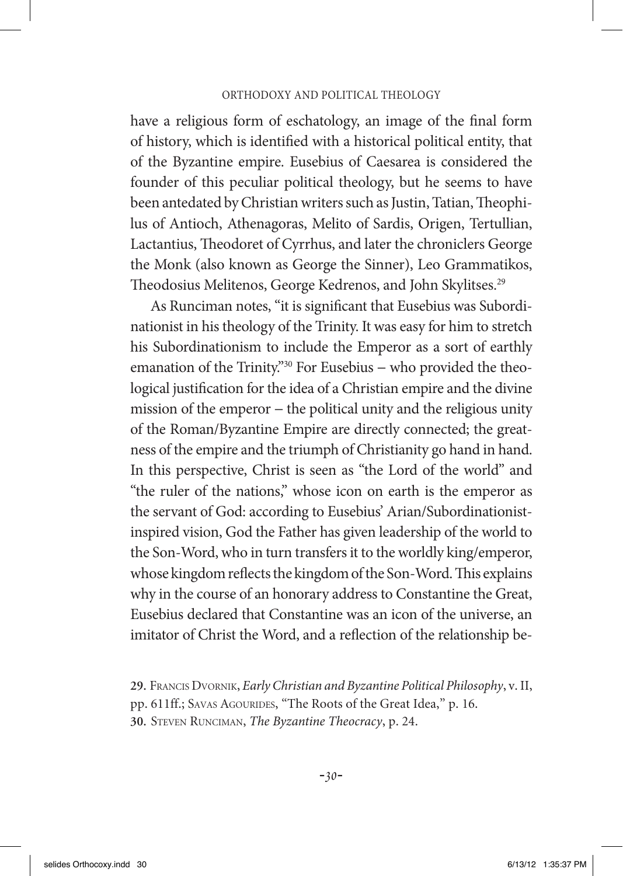have a religious form of eschatology, an image of the final form of history, which is identified with a historical political entity, that of the Byzantine empire. Eusebius of Caesarea is considered the founder of this peculiar political theology, but he seems to have been antedated by Christian writers such as Justin, Tatian, Theophilus of Antioch, Athenagoras, Melito of Sardis, Origen, Tertullian, Lactantius, Theodoret of Cyrrhus, and later the chroniclers George the Monk (also known as George the Sinner), Leo Grammatikos, Theodosius Melitenos, George Kedrenos, and John Skylitses.29

As Runciman notes, "it is significant that Eusebius was Subordinationist in his theology of the Trinity. It was easy for him to stretch his Subordinationism to include the Emperor as a sort of earthly emanation of the Trinity."<sup>30</sup> For Eusebius – who provided the theological justification for the idea of a Christian empire and the divine mission of the emperor  $-$  the political unity and the religious unity of the Roman/Byzantine Empire are directly connected; the greatness of the empire and the triumph of Christianity go hand in hand. In this perspective, Christ is seen as "the Lord of the world" and "the ruler of the nations," whose icon on earth is the emperor as the servant of God: according to Eusebius' Arian/Subordinationistinspired vision, God the Father has given leadership of the world to the Son-Word, who in turn transfers it to the worldly king/emperor, whose kingdom reflects the kingdom of the Son-Word. This explains why in the course of an honorary address to Constantine the Great, Eusebius declared that Constantine was an icon of the universe, an imitator of Christ the Word, and a reflection of the relationship be-

**<sup>29.</sup>** Francis Dvornik, *Early Christian and Byzantine Political Philosophy*, v. II,

pp. 611ff.; SAVAS AGOURIDES, "The Roots of the Great Idea," p. 16.

**<sup>30.</sup>** Steven Runciman, *The Byzantine Theocracy*, p. 24.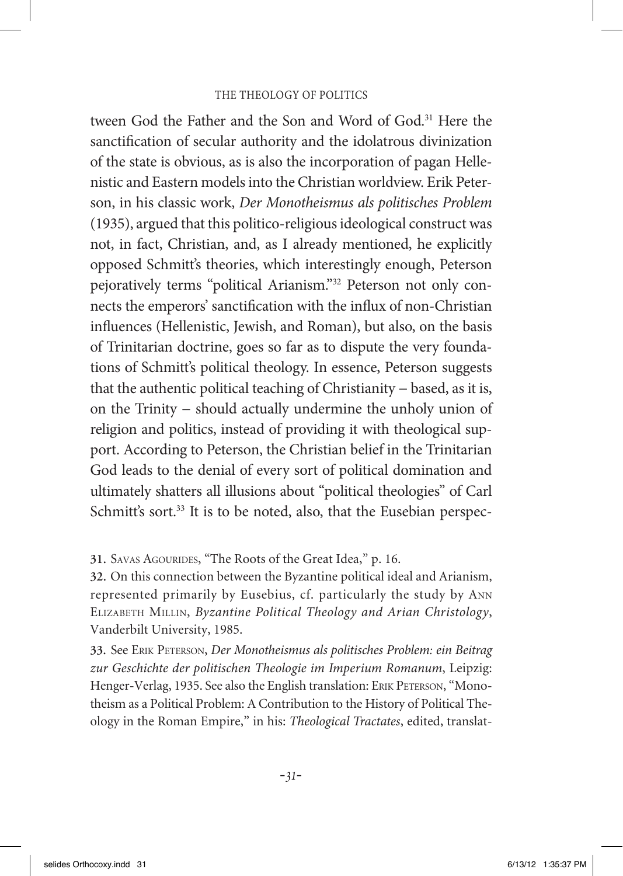tween God the Father and the Son and Word of God.31 Here the sanctification of secular authority and the idolatrous divinization of the state is obvious, as is also the incorporation of pagan Hellenistic and Eastern models into the Christian worldview. Erik Peterson, in his classic work, *Der Monotheismus als politisches Problem* (1935), argued that this politico-religious ideological construct was not, in fact, Christian, and, as I already mentioned, he explicitly opposed Schmitt's theories, which interestingly enough, Peterson pejoratively terms "political Arianism."32 Peterson not only connects the emperors' sanctification with the influx of non-Christian influences (Hellenistic, Jewish, and Roman), but also, on the basis of Trinitarian doctrine, goes so far as to dispute the very foundations of Schmitt's political theology. In essence, Peterson suggests that the authentic political teaching of Christianity  $-$  based, as it is, on the Trinity – should actually undermine the unholy union of religion and politics, instead of providing it with theological support. According to Peterson, the Christian belief in the Trinitarian God leads to the denial of every sort of political domination and ultimately shatters all illusions about "political theologies" of Carl Schmitt's sort.<sup>33</sup> It is to be noted, also, that the Eusebian perspec-

**31.** SAVAS AGOURIDES, "The Roots of the Great Idea," p. 16.

**32.** On this connection between the Byzantine political ideal and Arianism, represented primarily by Eusebius, cf. particularly the study by Ann Elizabeth Millin, *Byzantine Political Theology and Arian Christology*, Vanderbilt University, 1985.

**33.** See Erik Peterson, *Der Monotheismus als politisches Problem: ein Beitrag zur Geschichte der politischen Theologie im Imperium Romanum*, Leipzig: Henger-Verlag, 1935. See also the English translation: ERIK PETERSON, "Monotheism as a Political Problem: A Contribution to the History of Political Theology in the Roman Empire," in his: *Theological Tractates*, edited, translat-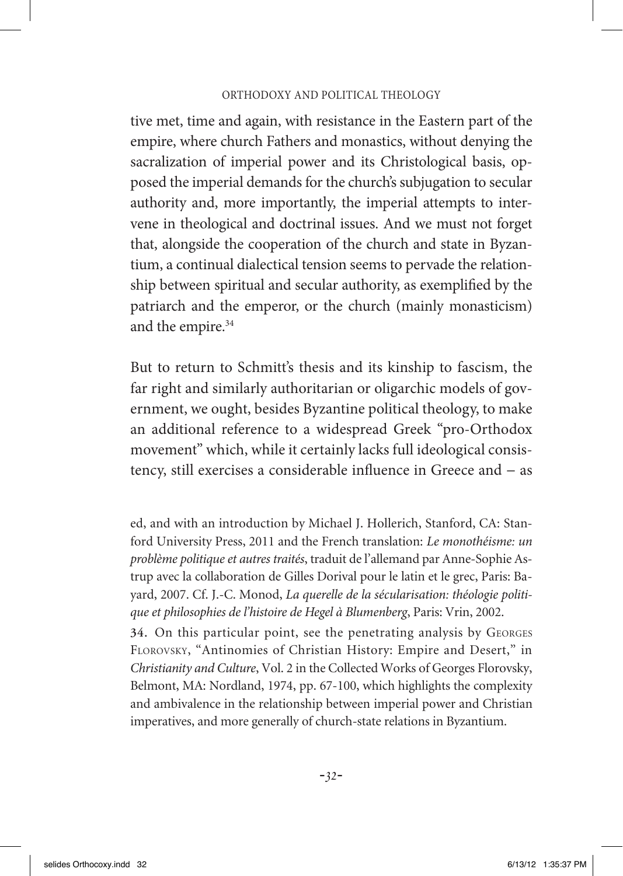#### orthodoxY AND POLITICAL theology

tive met, time and again, with resistance in the Eastern part of the empire, where church Fathers and monastics, without denying the sacralization of imperial power and its Christological basis, opposed the imperial demands for the church's subjugation to secular authority and, more importantly, the imperial attempts to intervene in theological and doctrinal issues. And we must not forget that, alongside the cooperation of the church and state in Byzantium, a continual dialectical tension seems to pervade the relationship between spiritual and secular authority, as exemplified by the patriarch and the emperor, or the church (mainly monasticism) and the empire.<sup>34</sup>

But to return to Schmitt's thesis and its kinship to fascism, the far right and similarly authoritarian or oligarchic models of government, we ought, besides Byzantine political theology, to make an additional reference to a widespread Greek "pro-Orthodox movement" which, while it certainly lacks full ideological consistency, still exercises a considerable influence in Greece and  $-$  as

ed, and with an introduction by Michael J. Hollerich, Stanford, CA: Stanford University Press, 2011 and the French translation: *Le monothéisme: un problème politique et autres traités*, traduit de l'allemand par Anne-Sophie Astrup avec la collaboration de Gilles Dorival pour le latin et le grec, Paris: Bayard, 2007. Cf. J.-C. Monod, *La querelle de la sécularisation: théologie politique et philosophies de l'histoire de Hegel à Blumenberg*, Paris: Vrin, 2002.

**34.** On this particular point, see the penetrating analysis by Georges Florovsky, "Antinomies of Christian History: Empire and Desert," in *Christianity and Culture*, Vol. 2 in the Collected Works of Georges Florovsky, Belmont, MA: Nordland, 1974, pp. 67-100, which highlights the complexity and ambivalence in the relationship between imperial power and Christian imperatives, and more generally of church-state relations in Byzantium.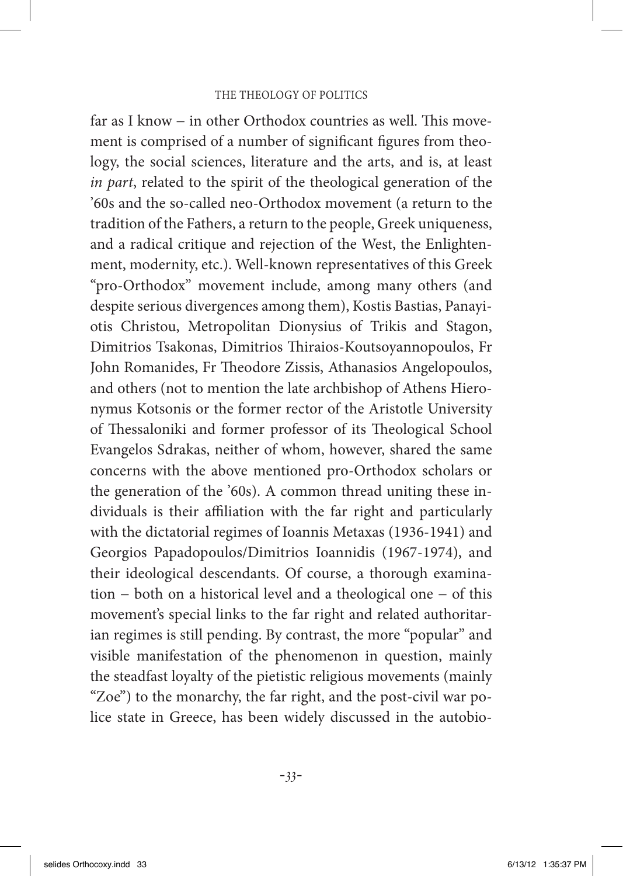far as I know – in other Orthodox countries as well. This movement is comprised of a number of significant figures from theology, the social sciences, literature and the arts, and is, at least *in part*, related to the spirit of the theological generation of the '60s and the so-called neo-Orthodox movement (a return to the tradition of the Fathers, a return to the people, Greek uniqueness, and a radical critique and rejection of the West, the Enlightenment, modernity, etc.). Well-known representatives of this Greek "pro-Orthodox" movement include, among many others (and despite serious divergences among them), Kostis Bastias, Panayiotis Christou, Metropolitan Dionysius of Trikis and Stagon, Dimitrios Tsakonas, Dimitrios Thiraios-Koutsoyannopoulos, Fr John Romanides, Fr Theodore Zissis, Athanasios Angelopoulos, and others (not to mention the late archbishop of Athens Hieronymus Kotsonis or the former rector of the Aristotle University of Thessaloniki and former professor of its Theological School Evangelos Sdrakas, neither of whom, however, shared the same concerns with the above mentioned pro-Orthodox scholars or the generation of the '60s). A common thread uniting these individuals is their affiliation with the far right and particularly with the dictatorial regimes of Ioannis Metaxas (1936-1941) and Georgios Papadopoulos/Dimitrios Ioannidis (1967-1974), and their ideological descendants. Of course, a thorough examina $tion - both on a historical level and a theological one - of this$ movement's special links to the far right and related authoritarian regimes is still pending. By contrast, the more "popular" and visible manifestation of the phenomenon in question, mainly the steadfast loyalty of the pietistic religious movements (mainly "Zoe") to the monarchy, the far right, and the post-civil war police state in Greece, has been widely discussed in the autobio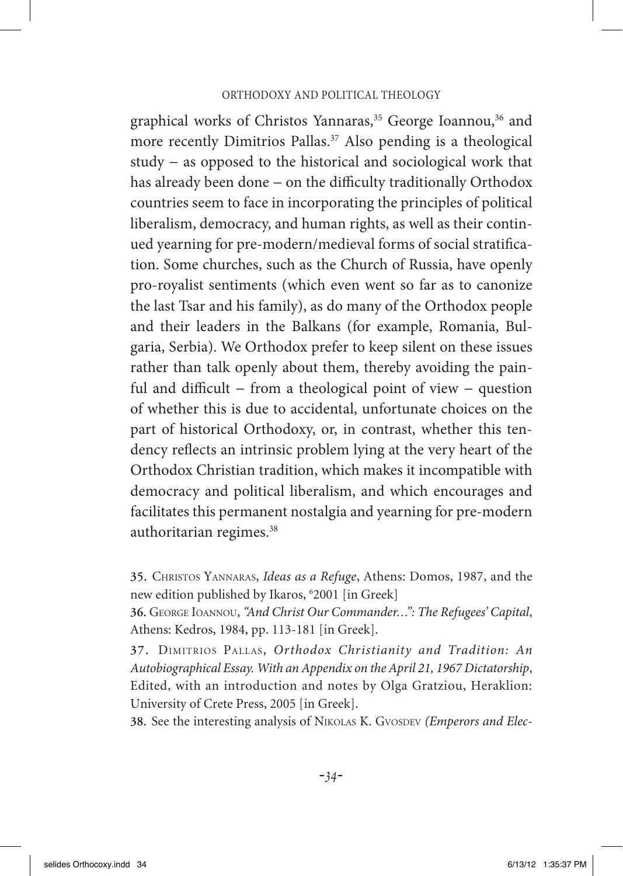graphical works of Christos Yannaras,<sup>35</sup> George Ioannou,<sup>36</sup> and more recently Dimitrios Pallas.<sup>37</sup> Also pending is a theological study ‒ as opposed to the historical and sociological work that has already been done  $-$  on the difficulty traditionally Orthodox countries seem to face in incorporating the principles of political liberalism, democracy, and human rights, as well as their continued yearning for pre-modern/medieval forms of social stratification. Some churches, such as the Church of Russia, have openly pro-royalist sentiments (which even went so far as to canonize the last Tsar and his family), as do many of the Orthodox people and their leaders in the Balkans (for example, Romania, Bulgaria, Serbia). We Orthodox prefer to keep silent on these issues rather than talk openly about them, thereby avoiding the painful and difficult  $-$  from a theological point of view  $-$  question of whether this is due to accidental, unfortunate choices on the part of historical Orthodoxy, or, in contrast, whether this tendency reflects an intrinsic problem lying at the very heart of the Orthodox Christian tradition, which makes it incompatible with democracy and political liberalism, and which encourages and facilitates this permanent nostalgia and yearning for pre-modern authoritarian regimes.38

**35.** Christos Yannaras, *Ideas as a Refuge*, Athens: Domos, 1987, and the new edition published by Ikaros, 62001 [in Greek]

**36.** George Ioannou, *"And Christ Our Commander…": The Refugees' Capital*, Athens: Kedros, 1984, pp. 113-181 [in Greek].

**37.** Dimitrios Pallas, *Orthodox Christianity and Tradition: An Autobiographical Essay. With an Appendix on the April 21, 1967 Dictatorship*, Edited, with an introduction and notes by Olga Gratziou, Heraklion: University of Crete Press, 2005 [in Greek].

38. See the interesting analysis of NIKOLAS K. GVOSDEV (Emperors and Elec-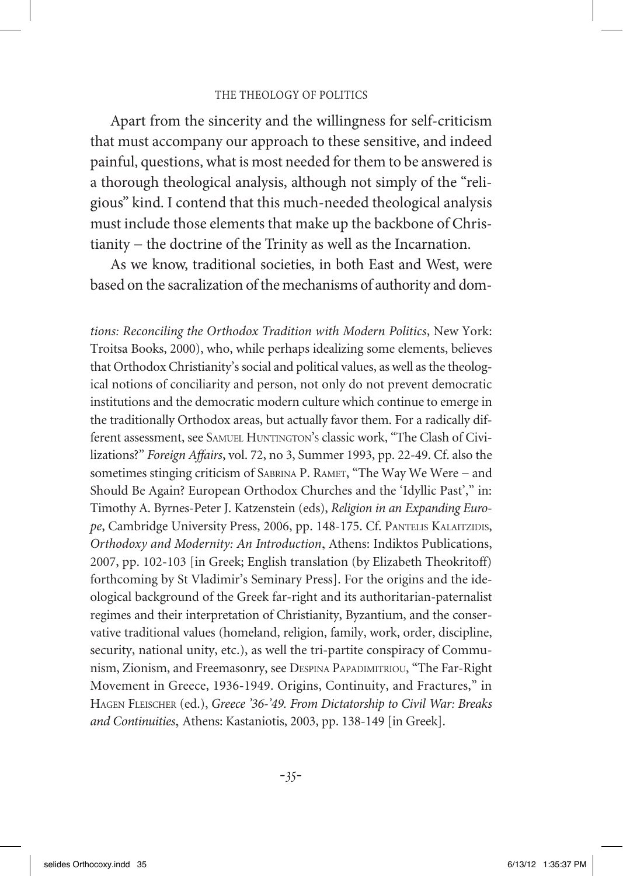Apart from the sincerity and the willingness for self-criticism that must accompany our approach to these sensitive, and indeed painful, questions, what is most needed for them to be answered is a thorough theological analysis, although not simply of the "religious" kind. I contend that this much-needed theological analysis must include those elements that make up the backbone of Christianity – the doctrine of the Trinity as well as the Incarnation.

As we know, traditional societies, in both East and West, were based on the sacralization of the mechanisms of authority and dom-

*tions: Reconciling the Orthodox Tradition with Modern Politics*, New York: Troitsa Books, 2000), who, while perhaps idealizing some elements, believes that Orthodox Christianity's social and political values, as well as the theological notions of conciliarity and person, not only do not prevent democratic institutions and the democratic modern culture which continue to emerge in the traditionally Orthodox areas, but actually favor them. For a radically different assessment, see SAMUEL HUNTINGTON's classic work, "The Clash of Civilizations?" *Foreign Affairs*, vol. 72, no 3, Summer 1993, pp. 22-49. Cf. also the sometimes stinging criticism of SABRINA P. RAMET, "The Way We Were – and Should Be Again? European Orthodox Churches and the 'Idyllic Past'," in: Timothy A. Byrnes-Peter J. Katzenstein (eds), *Religion in an Expanding Euro*pe, Cambridge University Press, 2006, pp. 148-175. Cf. PANTELIS KALAITZIDIS, *Orthodoxy and Modernity: An Introduction*, Athens: Indiktos Publications, 2007, pp. 102-103 [in Greek; English translation (by Elizabeth Theokritoff) forthcoming by St Vladimir's Seminary Press]. For the origins and the ideological background of the Greek far-right and its authoritarian-paternalist regimes and their interpretation of Christianity, Byzantium, and the conservative traditional values (homeland, religion, family, work, order, discipline, security, national unity, etc.), as well the tri-partite conspiracy of Communism, Zionism, and Freemasonry, see Despina Papadimitriou, "The Far-Right Movement in Greece, 1936-1949. Origins, Continuity, and Fractures," in Hagen Fleischer (ed.), *Greece '36-'49. From Dictatorship to Civil War: Breaks and Continuities*, Athens: Kastaniotis, 2003, pp. 138-149 [in Greek].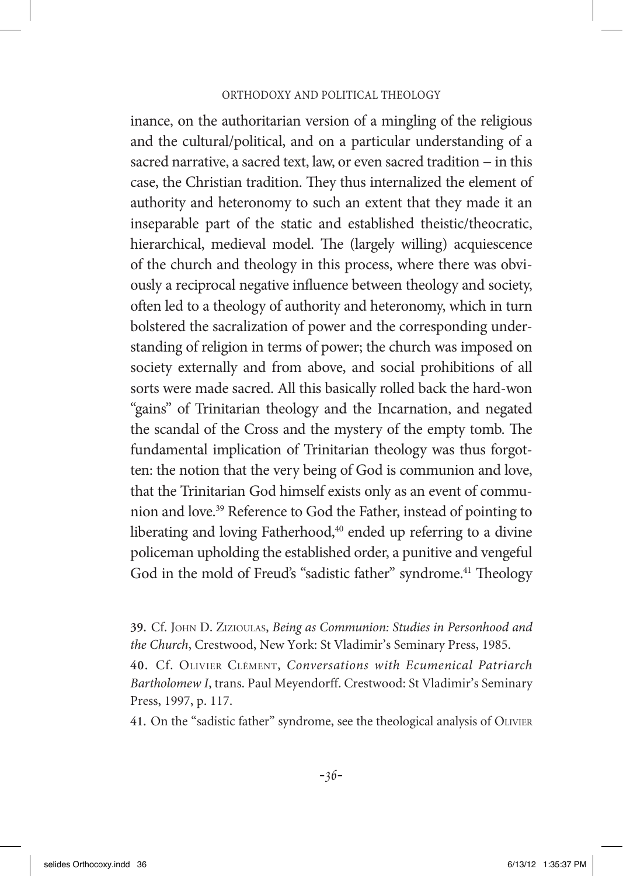inance, on the authoritarian version of a mingling of the religious and the cultural/political, and on a particular understanding of a sacred narrative, a sacred text, law, or even sacred tradition  $-$  in this case, the Christian tradition. They thus internalized the element of authority and heteronomy to such an extent that they made it an inseparable part of the static and established theistic/theocratic, hierarchical, medieval model. The (largely willing) acquiescence of the church and theology in this process, where there was obviously a reciprocal negative influence between theology and society, often led to a theology of authority and heteronomy, which in turn bolstered the sacralization of power and the corresponding understanding of religion in terms of power; the church was imposed on society externally and from above, and social prohibitions of all sorts were made sacred. All this basically rolled back the hard-won "gains" of Trinitarian theology and the Incarnation, and negated the scandal of the Cross and the mystery of the empty tomb. The fundamental implication of Trinitarian theology was thus forgotten: the notion that the very being of God is communion and love, that the Trinitarian God himself exists only as an event of communion and love.39 Reference to God the Father, instead of pointing to liberating and loving Fatherhood,<sup>40</sup> ended up referring to a divine policeman upholding the established order, a punitive and vengeful God in the mold of Freud's "sadistic father" syndrome.<sup>41</sup> Theology

**41.** On the "sadistic father" syndrome, see the theological analysis of Olivier

**<sup>39.</sup>** Cf. John D. Zizioulas, *Being as Communion: Studies in Personhood and the Church*, Crestwood, New York: St Vladimir's Seminary Press, 1985.

**<sup>40.</sup>** Cf. Olivier Clément, *Conversations with Ecumenical Patriarch Bartholomew I*, trans. Paul Meyendorff. Crestwood: St Vladimir's Seminary Press, 1997, p. 117.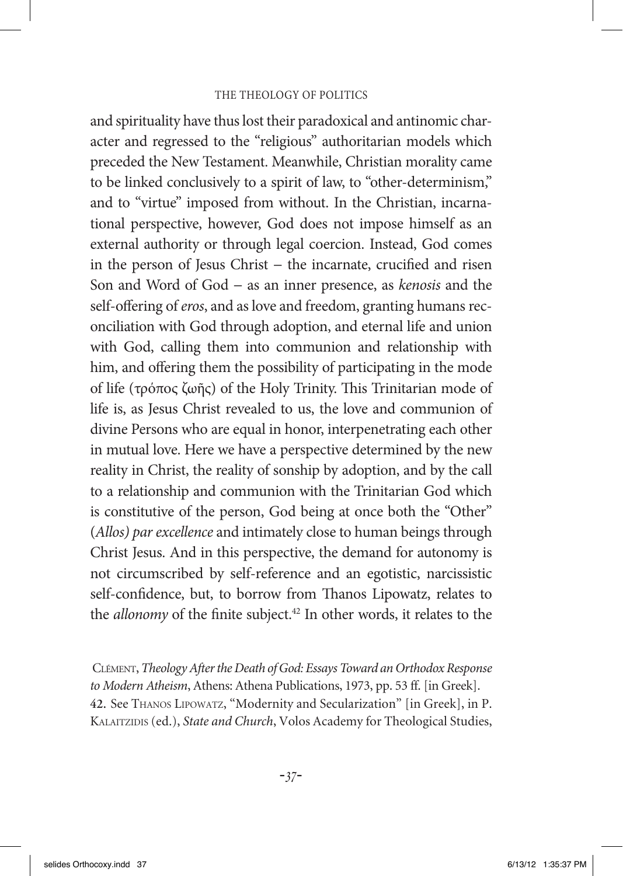and spirituality have thus lost their paradoxical and antinomic character and regressed to the "religious" authoritarian models which preceded the New Testament. Meanwhile, Christian morality came to be linked conclusively to a spirit of law, to "other-determinism," and to "virtue" imposed from without. In the Christian, incarnational perspective, however, God does not impose himself as an external authority or through legal coercion. Instead, God comes in the person of Jesus Christ - the incarnate, crucified and risen Son and Word of God ‒ as an inner presence, as *kenosis* and the self-offering of *eros*, and as love and freedom, granting humans reconciliation with God through adoption, and eternal life and union with God, calling them into communion and relationship with him, and offering them the possibility of participating in the mode of life (τρόπος ζωῆς) of the Holy Trinity. This Trinitarian mode of life is, as Jesus Christ revealed to us, the love and communion of divine Persons who are equal in honor, interpenetrating each other in mutual love. Here we have a perspective determined by the new reality in Christ, the reality of sonship by adoption, and by the call to a relationship and communion with the Trinitarian God which is constitutive of the person, God being at once both the "Other" (*Allos) par excellence* and intimately close to human beings through Christ Jesus. And in this perspective, the demand for autonomy is not circumscribed by self-reference and an egotistic, narcissistic self-confidence, but, to borrow from Thanos Lipowatz, relates to the *allonomy* of the finite subject.<sup>42</sup> In other words, it relates to the

 Clément, *Theology After the Death of God: Essays Toward an Orthodox Response to Modern Atheism*, Athens: Athena Publications, 1973, pp. 53 ff. [in Greek]. **42.** See Thanos Lipowatz, "Modernity and Secularization" [in Greek], in P. Kalaitzidis (ed.), *State and Church*, Volos Academy for Theological Studies,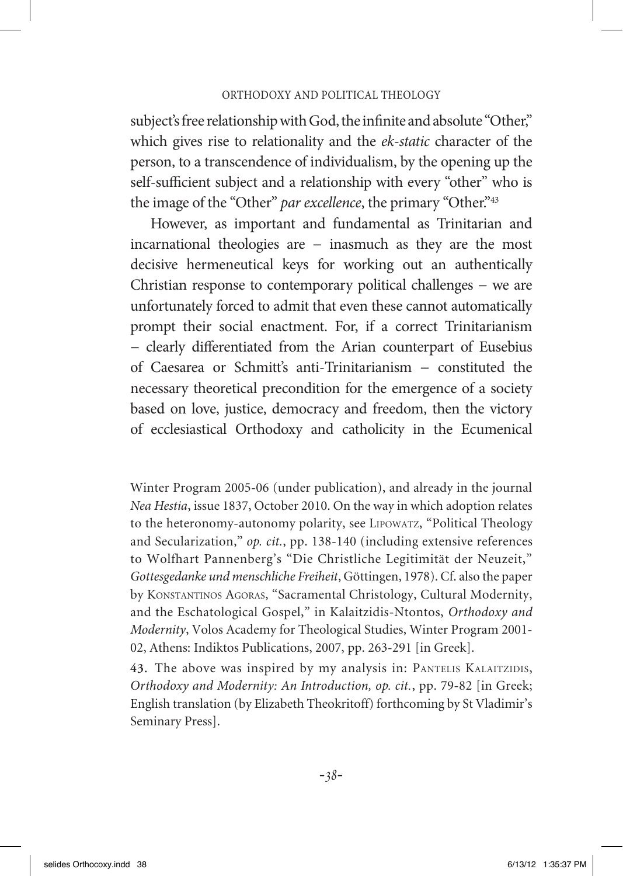subject's free relationship with God, the infinite and absolute "Other," which gives rise to relationality and the *ek-static* character of the person, to a transcendence of individualism, by the opening up the self-sufficient subject and a relationship with every "other" who is the image of the "Other" *par excellence*, the primary "Other."<sup>43</sup>

However, as important and fundamental as Trinitarian and incarnational theologies are  $-$  inasmuch as they are the most decisive hermeneutical keys for working out an authentically Christian response to contemporary political challenges  $-$  we are unfortunately forced to admit that even these cannot automatically prompt their social enactment. For, if a correct Trinitarianism ‒ clearly differentiated from the Arian counterpart of Eusebius of Caesarea or Schmitt's anti-Trinitarianism ‒ constituted the necessary theoretical precondition for the emergence of a society based on love, justice, democracy and freedom, then the victory of ecclesiastical Orthodoxy and catholicity in the Ecumenical

Winter Program 2005-06 (under publication), and already in the journal *Nea Hestia*, issue 1837, October 2010. On the way in which adoption relates to the heteronomy-autonomy polarity, see Lipowatz, "Political Theology and Secularization," *op. cit.*, pp. 138-140 (including extensive references to Wolfhart Pannenberg's "Die Christliche Legitimität der Neuzeit," *Gottesgedanke und menschliche Freiheit*, Göttingen, 1978). Cf. also the paper by Konstantinos Agoras, "Sacramental Christology, Cultural Modernity, and the Eschatological Gospel," in Kalaitzidis-Ntontos, *Orthodoxy and Modernity*, Volos Academy for Theological Studies, Winter Program 2001- 02, Athens: Indiktos Publications, 2007, pp. 263-291 [in Greek].

43. The above was inspired by my analysis in: PANTELIS KALAITZIDIS, *Orthodoxy and Modernity: An Introduction, op. cit.*, pp. 79-82 [in Greek; English translation (by Elizabeth Theokritoff) forthcoming by St Vladimir's Seminary Press].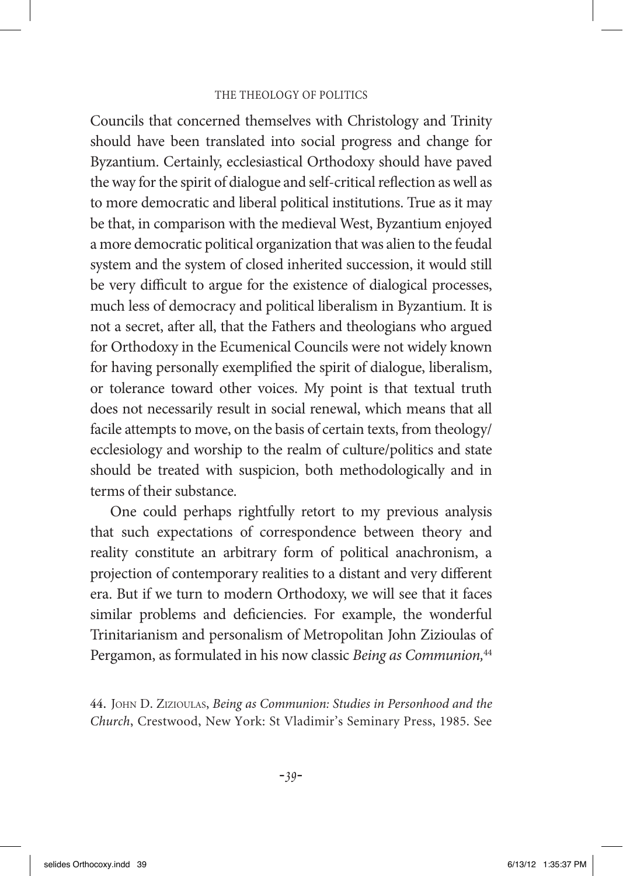Councils that concerned themselves with Christology and Trinity should have been translated into social progress and change for Byzantium. Certainly, ecclesiastical Orthodoxy should have paved the way for the spirit of dialogue and self-critical reflection as well as to more democratic and liberal political institutions. True as it may be that, in comparison with the medieval West, Byzantium enjoyed a more democratic political organization that was alien to the feudal system and the system of closed inherited succession, it would still be very difficult to argue for the existence of dialogical processes, much less of democracy and political liberalism in Byzantium. It is not a secret, after all, that the Fathers and theologians who argued for Orthodoxy in the Ecumenical Councils were not widely known for having personally exemplified the spirit of dialogue, liberalism, or tolerance toward other voices. My point is that textual truth does not necessarily result in social renewal, which means that all facile attempts to move, on the basis of certain texts, from theology/ ecclesiology and worship to the realm of culture/politics and state should be treated with suspicion, both methodologically and in terms of their substance.

One could perhaps rightfully retort to my previous analysis that such expectations of correspondence between theory and reality constitute an arbitrary form of political anachronism, a projection of contemporary realities to a distant and very different era. But if we turn to modern Orthodoxy, we will see that it faces similar problems and deficiencies. For example, the wonderful Trinitarianism and personalism of Metropolitan John Zizioulas of Pergamon, as formulated in his now classic *Being as Communion,*<sup>44</sup>

**44.** John D. Zizioulas, *Being as Communion: Studies in Personhood and the Church*, Crestwood, New York: St Vladimir's Seminary Press, 1985. See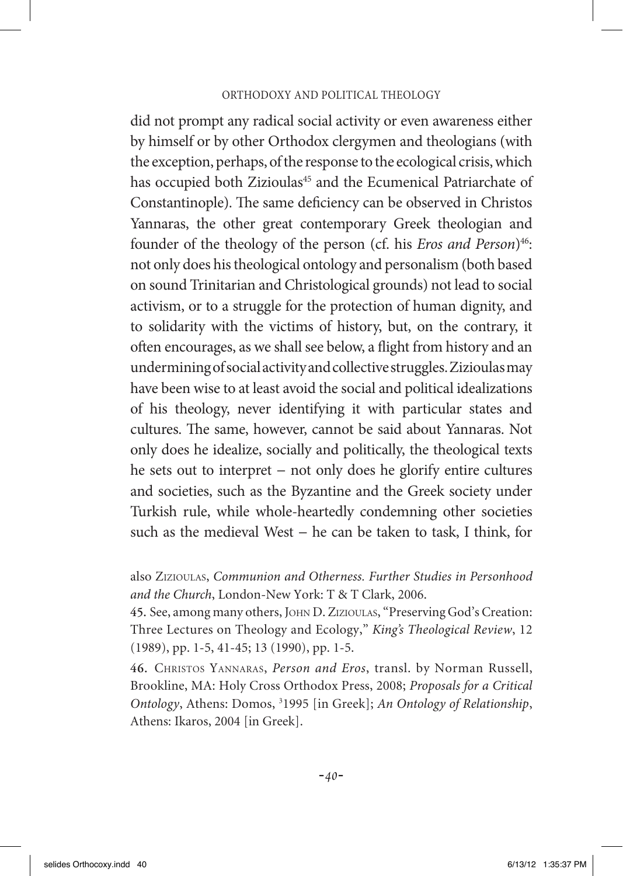did not prompt any radical social activity or even awareness either by himself or by other Orthodox clergymen and theologians (with the exception, perhaps, of the response to the ecological crisis, which has occupied both Zizioulas<sup>45</sup> and the Ecumenical Patriarchate of Constantinople). The same deficiency can be observed in Christos Yannaras, the other great contemporary Greek theologian and founder of the theology of the person (cf. his *Eros and Person*) 46: not only does his theological ontology and personalism (both based on sound Trinitarian and Christological grounds) not lead to social activism, or to a struggle for the protection of human dignity, and to solidarity with the victims of history, but, on the contrary, it often encourages, as we shall see below, a flight from history and an undermining of social activity and collective struggles. Zizioulas may have been wise to at least avoid the social and political idealizations of his theology, never identifying it with particular states and cultures. The same, however, cannot be said about Yannaras. Not only does he idealize, socially and politically, the theological texts he sets out to interpret  $-$  not only does he glorify entire cultures and societies, such as the Byzantine and the Greek society under Turkish rule, while whole-heartedly condemning other societies such as the medieval West  $-$  he can be taken to task, I think, for

also Zizioulas, *Communion and Otherness. Further Studies in Personhood and the Church*, London-New York: T & T Clark, 2006.

**45.** See, among many others, John D. Zizioulas, "Preserving God's Creation: Three Lectures on Theology and Ecology," *King's Theological Review*, 12 (1989), pp. 1-5, 41-45; 13 (1990), pp. 1-5.

**46.** Christos Yannaras, *Person and Eros*, transl. by Norman Russell, Brookline, MA: Holy Cross Orthodox Press, 2008; *Proposals for a Critical Ontology*, Athens: Domos, 3 1995 [in Greek]; *An Ontology of Relationship*, Athens: Ikaros, 2004 [in Greek].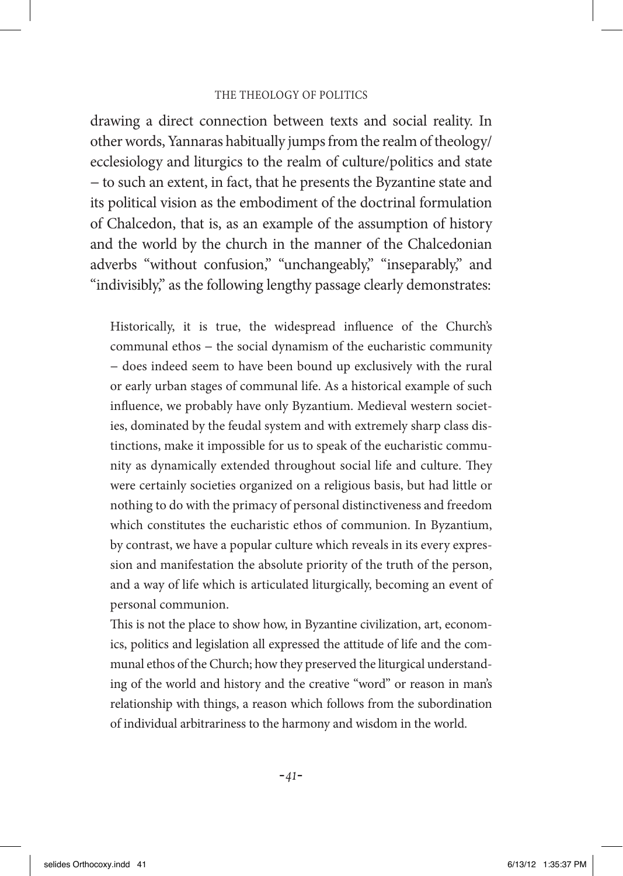drawing a direct connection between texts and social reality. In other words, Yannaras habitually jumps from the realm of theology/ ecclesiology and liturgics to the realm of culture/politics and state ‒ to such an extent, in fact, that he presents the Byzantine state and its political vision as the embodiment of the doctrinal formulation of Chalcedon, that is, as an example of the assumption of history and the world by the church in the manner of the Chalcedonian adverbs "without confusion," "unchangeably," "inseparably," and "indivisibly," as the following lengthy passage clearly demonstrates:

Historically, it is true, the widespread influence of the Church's communal ethos – the social dynamism of the eucharistic community - does indeed seem to have been bound up exclusively with the rural or early urban stages of communal life. As a historical example of such influence, we probably have only Byzantium. Medieval western societies, dominated by the feudal system and with extremely sharp class distinctions, make it impossible for us to speak of the eucharistic community as dynamically extended throughout social life and culture. They were certainly societies organized on a religious basis, but had little or nothing to do with the primacy of personal distinctiveness and freedom which constitutes the eucharistic ethos of communion. In Byzantium, by contrast, we have a popular culture which reveals in its every expression and manifestation the absolute priority of the truth of the person, and a way of life which is articulated liturgically, becoming an event of personal communion.

This is not the place to show how, in Byzantine civilization, art, economics, politics and legislation all expressed the attitude of life and the communal ethos of the Church; how they preserved the liturgical understanding of the world and history and the creative "word" or reason in man's relationship with things, a reason which follows from the subordination of individual arbitrariness to the harmony and wisdom in the world.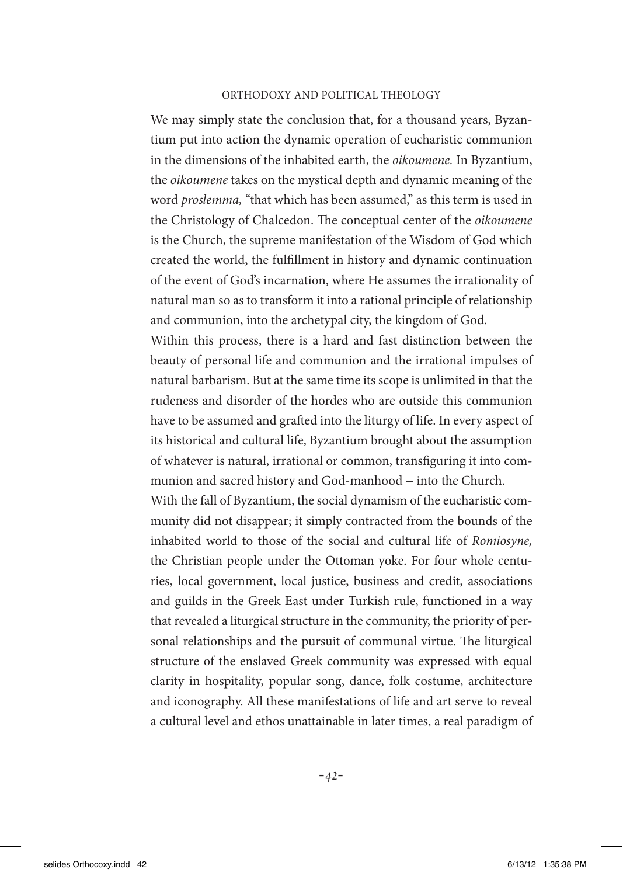#### orthodoxY AND POLITICAL theology

We may simply state the conclusion that, for a thousand years, Byzantium put into action the dynamic operation of eucharistic communion in the dimensions of the inhabited earth, the *oikoumene.* In Byzantium, the *oikoumene* takes on the mystical depth and dynamic meaning of the word *proslemma,* "that which has been assumed," as this term is used in the Christology of Chalcedon. The conceptual center of the *oikoumene*  is the Church, the supreme manifestation of the Wisdom of God which created the world, the fulfillment in history and dynamic continuation of the event of God's incarnation, where He assumes the irrationality of natural man so as to transform it into a rational principle of relationship and communion, into the archetypal city, the kingdom of God.

Within this process, there is a hard and fast distinction between the beauty of personal life and communion and the irrational impulses of natural barbarism. But at the same time its scope is unlimited in that the rudeness and disorder of the hordes who are outside this communion have to be assumed and grafted into the liturgy of life. In every aspect of its historical and cultural life, Byzantium brought about the assumption of whatever is natural, irrational or common, transfiguring it into communion and sacred history and God-manhood – into the Church.

With the fall of Byzantium, the social dynamism of the eucharistic community did not disappear; it simply contracted from the bounds of the inhabited world to those of the social and cultural life of *Romiosyne,*  the Christian people under the Ottoman yoke. For four whole centuries, local government, local justice, business and credit, associations and guilds in the Greek East under Turkish rule, functioned in a way that revealed a liturgical structure in the community, the priority of personal relationships and the pursuit of communal virtue. The liturgical structure of the enslaved Greek community was expressed with equal clarity in hospitality, popular song, dance, folk costume, architecture and iconography. All these manifestations of life and art serve to reveal a cultural level and ethos unattainable in later times, a real paradigm of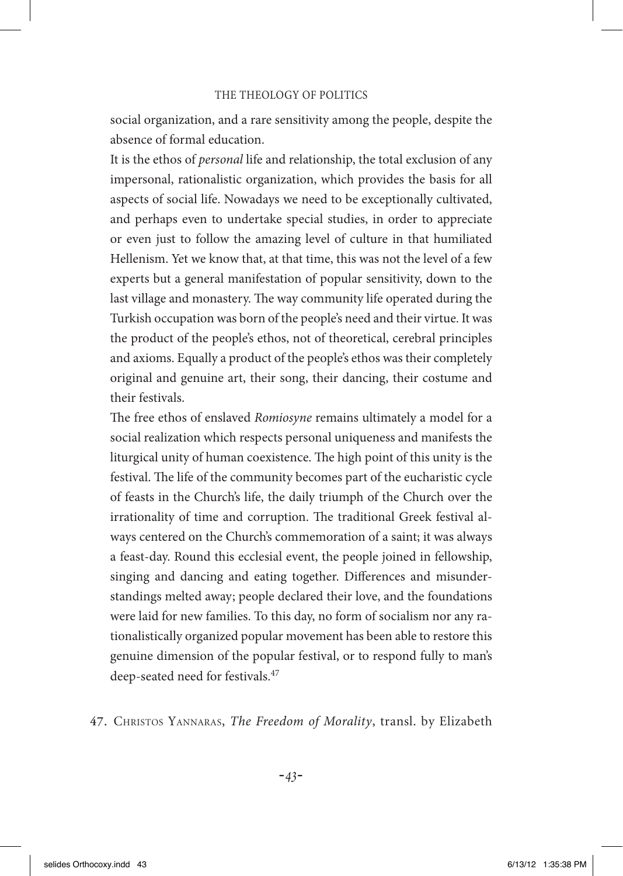social organization, and a rare sensitivity among the people, despite the absence of formal education.

It is the ethos of *personal* life and relationship, the total exclusion of any impersonal, rationalistic organization, which provides the basis for all aspects of social life. Nowadays we need to be exceptionally cultivated, and perhaps even to undertake special studies, in order to appreciate or even just to follow the amazing level of culture in that humiliated Hellenism. Yet we know that, at that time, this was not the level of a few experts but a general manifestation of popular sensitivity, down to the last village and monastery. The way community life operated during the Turkish occupation was born of the people's need and their virtue. It was the product of the people's ethos, not of theoretical, cerebral principles and axioms. Equally a product of the people's ethos was their completely original and genuine art, their song, their dancing, their costume and their festivals.

The free ethos of enslaved *Romiosyne* remains ultimately a model for a social realization which respects personal uniqueness and manifests the liturgical unity of human coexistence. The high point of this unity is the festival. The life of the community becomes part of the eucharistic cycle of feasts in the Church's life, the daily triumph of the Church over the irrationality of time and corruption. The traditional Greek festival always centered on the Church's commemoration of a saint; it was always a feast-day. Round this ecclesial event, the people joined in fellowship, singing and dancing and eating together. Differences and misunderstandings melted away; people declared their love, and the foundations were laid for new families. To this day, no form of socialism nor any rationalistically organized popular movement has been able to restore this genuine dimension of the popular festival, or to respond fully to man's deep-seated need for festivals.<sup>47</sup>

**47.** Christos Yannaras, *The Freedom of Morality*, transl. by Elizabeth